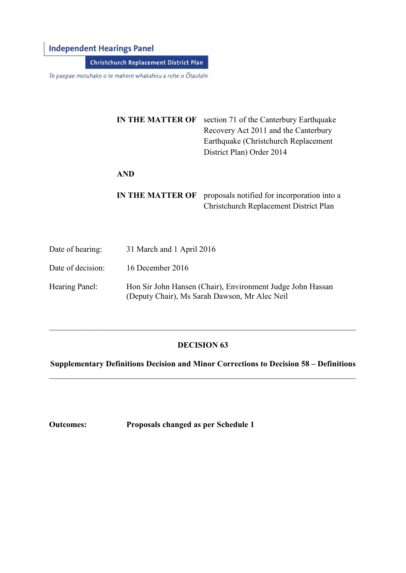# **Independent Hearings Panel**

Christchurch Replacement District Plan

Te paepae motuhake o te mahere whakahou a rohe o Ōtautahi

**IN THE MATTER OF** section 71 of the Canterbury Earthquake Recovery Act 2011 and the Canterbury Earthquake (Christchurch Replacement District Plan) Order 2014 **AND IN THE MATTER OF** proposals notified for incorporation into a Christchurch Replacement District Plan

- Date of hearing: 31 March and 1 April 2016
- Date of decision: 16 December 2016
- Hearing Panel: Hon Sir John Hansen (Chair), Environment Judge John Hassan (Deputy Chair), Ms Sarah Dawson, Mr Alec Neil

# **DECISION 63**

\_\_\_\_\_\_\_\_\_\_\_\_\_\_\_\_\_\_\_\_\_\_\_\_\_\_\_\_\_\_\_\_\_\_\_\_\_\_\_\_\_\_\_\_\_\_\_\_\_\_\_\_\_\_\_\_\_\_\_\_\_\_\_\_\_\_\_\_\_\_\_\_\_\_\_

**Supplementary Definitions Decision and Minor Corrections to Decision 58 – Definitions**  \_\_\_\_\_\_\_\_\_\_\_\_\_\_\_\_\_\_\_\_\_\_\_\_\_\_\_\_\_\_\_\_\_\_\_\_\_\_\_\_\_\_\_\_\_\_\_\_\_\_\_\_\_\_\_\_\_\_\_\_\_\_\_\_\_\_\_\_\_\_\_\_\_\_\_

**Outcomes: Proposals changed as per Schedule 1**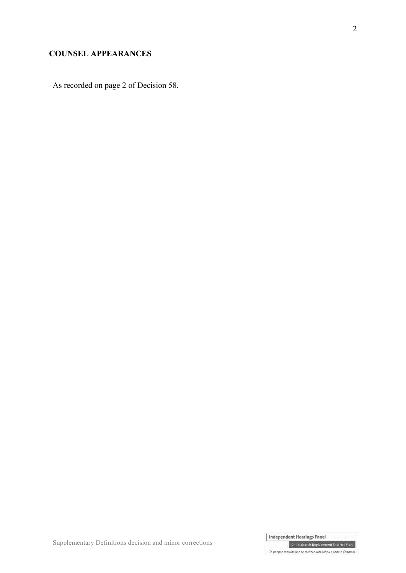# **COUNSEL APPEARANCES**

As recorded on page 2 of Decision 58.

Independent Hearings Panel Christchurch Replacement District Plan

Supplementary Definitions decision and minor corrections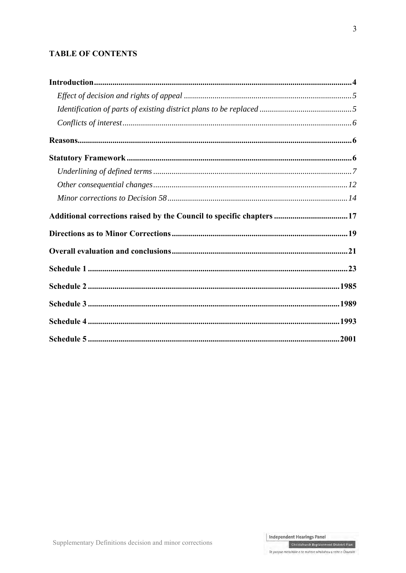# **TABLE OF CONTENTS**

| Additional corrections raised by the Council to specific chapters 17 |  |
|----------------------------------------------------------------------|--|
|                                                                      |  |
|                                                                      |  |
|                                                                      |  |
|                                                                      |  |
|                                                                      |  |
|                                                                      |  |
|                                                                      |  |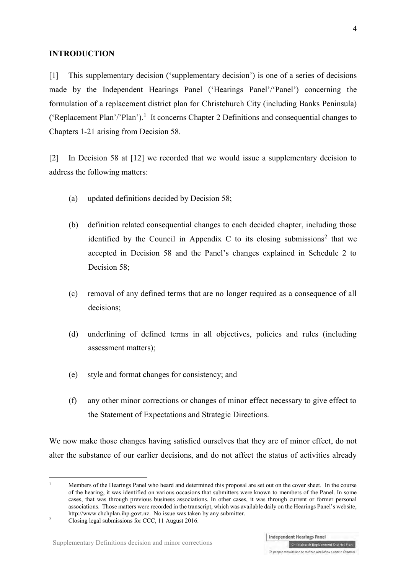## **INTRODUCTION**

[1] This supplementary decision ('supplementary decision') is one of a series of decisions made by the Independent Hearings Panel ('Hearings Panel'/'Panel') concerning the formulation of a replacement district plan for Christchurch City (including Banks Peninsula) ('Replacement Plan'/'Plan').<sup>1</sup> It concerns Chapter 2 Definitions and consequential changes to Chapters 1-21 arising from Decision 58.

<span id="page-3-0"></span>[2] In Decision 58 at [12] we recorded that we would issue a supplementary decision to address the following matters:

- (a) updated definitions decided by Decision 58;
- (b) definition related consequential changes to each decided chapter, including those identified by the Council in Appendix C to its closing submissions<sup>2</sup> that we accepted in Decision 58 and the Panel's changes explained in Schedule 2 to Decision 58;
- (c) removal of any defined terms that are no longer required as a consequence of all decisions;
- (d) underlining of defined terms in all objectives, policies and rules (including assessment matters);
- (e) style and format changes for consistency; and
- (f) any other minor corrections or changes of minor effect necessary to give effect to the Statement of Expectations and Strategic Directions.

We now make those changes having satisfied ourselves that they are of minor effect, do not alter the substance of our earlier decisions, and do not affect the status of activities already

<u>.</u>

<sup>1</sup> Members of the Hearings Panel who heard and determined this proposal are set out on the cover sheet. In the course of the hearing, it was identified on various occasions that submitters were known to members of the Panel. In some cases, that was through previous business associations. In other cases, it was through current or former personal associations. Those matters were recorded in the transcript, which was available daily on the Hearings Panel's website, [http://www.chchplan.ihp.govt.nz.](http://www.chchplan.ihp.govt.nz/) No issue was taken by any submitter.

<sup>2</sup> Closing legal submissions for CCC, 11 August 2016.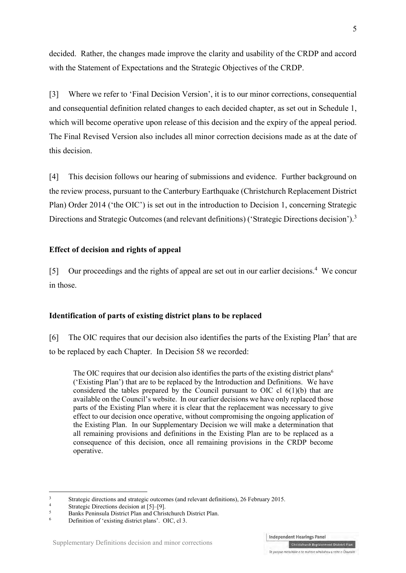decided. Rather, the changes made improve the clarity and usability of the CRDP and accord with the Statement of Expectations and the Strategic Objectives of the CRDP.

[3] Where we refer to 'Final Decision Version', it is to our minor corrections, consequential and consequential definition related changes to each decided chapter, as set out in Schedule 1, which will become operative upon release of this decision and the expiry of the appeal period. The Final Revised Version also includes all minor correction decisions made as at the date of this decision.

[4] This decision follows our hearing of submissions and evidence. Further background on the review process, pursuant to the [Canterbury Earthquake \(Christchurch Replacement District](http://www.legislation.govt.nz/regulation/public/2014/0228/latest/DLM6190883.html?search=ts_act%40bill%40regulation%40deemedreg_Canterbury+Earthquake+%28Christchurch+Replacement+District+Plan%29+Order+2014+_resel_25_a&p=1)  [Plan\) Order 2014](http://www.legislation.govt.nz/regulation/public/2014/0228/latest/DLM6190883.html?search=ts_act%40bill%40regulation%40deemedreg_Canterbury+Earthquake+%28Christchurch+Replacement+District+Plan%29+Order+2014+_resel_25_a&p=1) ('the OIC') is set out in the introduction to Decision 1, concerning Strategic Directions and Strategic Outcomes (and relevant definitions) ('Strategic Directions decision').<sup>3</sup>

# **Effect of decision and rights of appeal**

[5] Our proceedings and the rights of appeal are set out in our earlier decisions.<sup>4</sup> We concur in those.

# **Identification of parts of existing district plans to be replaced**

[6] The OIC requires that our decision also identifies the parts of the Existing Plan<sup>5</sup> that are to be replaced by each Chapter. In Decision 58 we recorded:

The OIC requires that our decision also identifies the parts of the existing district plans<sup>6</sup> ('Existing Plan') that are to be replaced by the Introduction and Definitions. We have considered the tables prepared by the Council pursuant to OIC cl  $6(1)(b)$  that are available on the Council's website. In our earlier decisions we have only replaced those parts of the Existing Plan where it is clear that the replacement was necessary to give effect to our decision once operative, without compromising the ongoing application of the Existing Plan. In our Supplementary Decision we will make a determination that all remaining provisions and definitions in the Existing Plan are to be replaced as a consequence of this decision, once all remaining provisions in the CRDP become operative.

 $\frac{1}{3}$ [Strategic directions and strategic outcomes \(and relevant definitions\), 26 February 2015.](http://www.chchplan.ihp.govt.nz/wp-content/uploads/2015/03/Strategic-Directions-and-Strategic-Outcomes-Decision.pdf)

<sup>4</sup> Strategic Directions decision at [5]–[9].

<sup>5</sup> Banks Peninsula District Plan and Christchurch District Plan.

<sup>6</sup> Definition of 'existing district plans'. OIC, cl 3.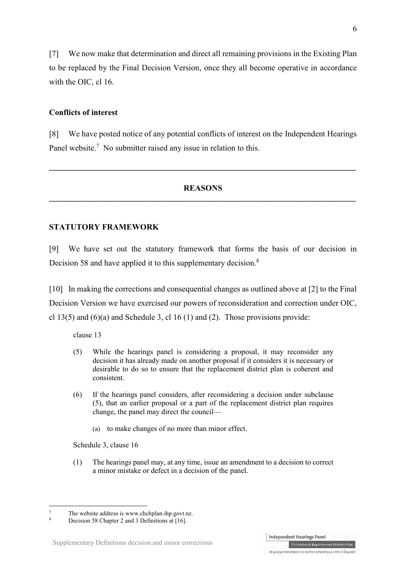[7] We now make that determination and direct all remaining provisions in the Existing Plan to be replaced by the Final Decision Version, once they all become operative in accordance with the OIC, cl 16.

# **Conflicts of interest**

[8] We have posted notice of any potential conflicts of interest on the Independent Hearings Panel website.<sup>7</sup> No submitter raised any issue in relation to this.

**\_\_\_\_\_\_\_\_\_\_\_\_\_\_\_\_\_\_\_\_\_\_\_\_\_\_\_\_\_\_\_\_\_\_\_\_\_\_\_\_\_\_\_\_\_\_\_\_\_\_\_\_\_\_\_\_\_\_\_\_\_\_\_\_\_\_\_\_\_\_\_\_\_\_\_**

# **REASONS \_\_\_\_\_\_\_\_\_\_\_\_\_\_\_\_\_\_\_\_\_\_\_\_\_\_\_\_\_\_\_\_\_\_\_\_\_\_\_\_\_\_\_\_\_\_\_\_\_\_\_\_\_\_\_\_\_\_\_\_\_\_\_\_\_\_\_\_\_\_\_\_\_\_\_**

# **STATUTORY FRAMEWORK**

[9] We have set out the statutory framework that forms the basis of our decision in Decision 58 and have applied it to this supplementary decision.<sup>8</sup>

<span id="page-5-0"></span>[10] In making the corrections and consequential changes as outlined above at [\[2\]](#page-3-0) to the Final Decision Version we have exercised our powers of reconsideration and correction under OIC, cl 13(5) and (6)(a) and Schedule 3, cl 16 (1) and (2). Those provisions provide:

clause 13

- (5) While the hearings panel is considering a proposal, it may reconsider any decision it has already made on another proposal if it considers it is necessary or desirable to do so to ensure that the replacement district plan is coherent and consistent.
- (6) If the hearings panel considers, after reconsidering a decision under subclause (5), that an earlier proposal or a part of the replacement district plan requires change, the panel may direct the council—
	- (a) to make changes of no more than minor effect.

Schedule 3, clause 16

-

(1) The hearings panel may, at any time, issue an amendment to a decision to correct a minor mistake or defect in a decision of the panel.

6



<sup>7</sup> The website address is [www.chchplan.ihp.govt.nz.](http://www.chchplan.ihp.govt.nz/)

<sup>8</sup> Decision 58 Chapter 2 and 3 Definitions at [16].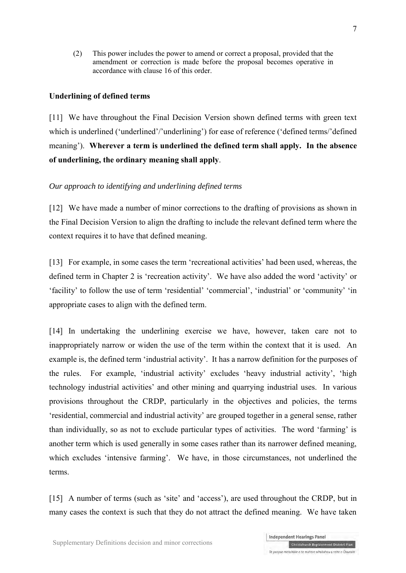(2) This power includes the power to amend or correct a proposal, provided that the amendment or correction is made before the proposal becomes operative in accordance with [clause 16](http://www.legislation.govt.nz/regulation/public/2014/0228/latest/link.aspx?search=sw_096be8ed812cf35a_Replacement+District+Plan_25_se&p=3&id=DLM6189936#DLM6189936) of this order.

# **Underlining of defined terms**

[11] We have throughout the Final Decision Version shown defined terms with green text which is underlined ('underlined'/'underlining') for ease of reference ('defined terms/'defined meaning'). **Wherever a term is underlined the defined term shall apply. In the absence of underlining, the ordinary meaning shall apply**.

# *Our approach to identifying and underlining defined terms*

[12] We have made a number of minor corrections to the drafting of provisions as shown in the Final Decision Version to align the drafting to include the relevant defined term where the context requires it to have that defined meaning.

[13] For example, in some cases the term 'recreational activities' had been used, whereas, the defined term in Chapter 2 is 'recreation activity'. We have also added the word 'activity' or 'facility' to follow the use of term 'residential' 'commercial', 'industrial' or 'community' 'in appropriate cases to align with the defined term.

[14] In undertaking the underlining exercise we have, however, taken care not to inappropriately narrow or widen the use of the term within the context that it is used. An example is, the defined term 'industrial activity'. It has a narrow definition for the purposes of the rules. For example, 'industrial activity' excludes 'heavy industrial activity', 'high technology industrial activities' and other mining and quarrying industrial uses. In various provisions throughout the CRDP, particularly in the objectives and policies, the terms 'residential, commercial and industrial activity' are grouped together in a general sense, rather than individually, so as not to exclude particular types of activities. The word 'farming' is another term which is used generally in some cases rather than its narrower defined meaning, which excludes 'intensive farming'. We have, in those circumstances, not underlined the terms.

[15] A number of terms (such as 'site' and 'access'), are used throughout the CRDP, but in many cases the context is such that they do not attract the defined meaning. We have taken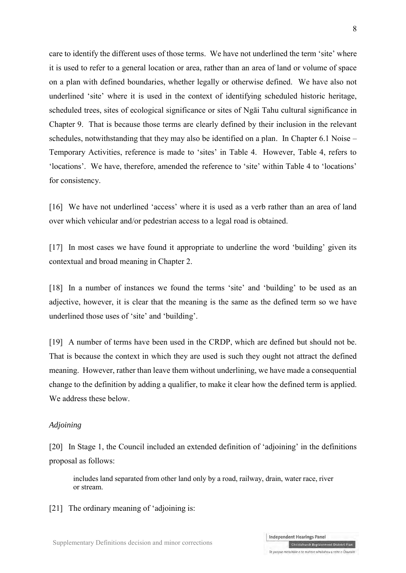care to identify the different uses of those terms. We have not underlined the term 'site' where it is used to refer to a general location or area, rather than an area of land or volume of space on a plan with defined boundaries, whether legally or otherwise defined. We have also not underlined 'site' where it is used in the context of identifying scheduled historic heritage, scheduled trees, sites of ecological significance or sites of Ngāi Tahu cultural significance in Chapter 9. That is because those terms are clearly defined by their inclusion in the relevant schedules, notwithstanding that they may also be identified on a plan. In Chapter 6.1 Noise – Temporary Activities, reference is made to 'sites' in Table 4. However, Table 4, refers to 'locations'. We have, therefore, amended the reference to 'site' within Table 4 to 'locations' for consistency.

[16] We have not underlined 'access' where it is used as a verb rather than an area of land over which vehicular and/or pedestrian access to a legal road is obtained.

[17] In most cases we have found it appropriate to underline the word 'building' given its contextual and broad meaning in Chapter 2.

[18] In a number of instances we found the terms 'site' and 'building' to be used as an adjective, however, it is clear that the meaning is the same as the defined term so we have underlined those uses of 'site' and 'building'.

[19] A number of terms have been used in the CRDP, which are defined but should not be. That is because the context in which they are used is such they ought not attract the defined meaning. However, rather than leave them without underlining, we have made a consequential change to the definition by adding a qualifier, to make it clear how the defined term is applied. We address these below

#### *Adjoining*

[20] In Stage 1, the Council included an extended definition of 'adjoining' in the definitions proposal as follows:

includes land separated from other land only by a road, railway, drain, water race, river or stream.

[21] The ordinary meaning of 'adjoining is: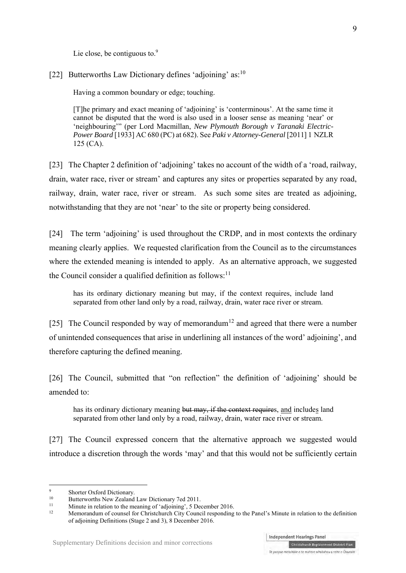Lie close, be contiguous to.<sup>9</sup>

[22] Butterworths Law Dictionary defines 'adjoining' as:  $10<sup>10</sup>$ 

Having a common boundary or edge; touching.

[T]he primary and exact meaning of 'adjoining' is 'conterminous'. At the same time it cannot be disputed that the word is also used in a looser sense as meaning 'near' or 'neighbouring'" (per Lord Macmillan, *New Plymouth Borough v Taranaki Electric-Power Board* [1933] AC 680 (PC) at 682). See *Paki v Attorney-General* [\[2011\] 1 NZLR](http://www.lexisnexis.com/nz/legal/search/enhRunRemoteLink.do?A=0.002691841388755445&service=citation&langcountry=AU&backKey=20_T25196396148&linkInfo=F%23NZ%23NZLR%23vol%251%25sel1%252011%25page%25125%25year%252011%25sel2%251%25&ersKey=23_T25196396138)  [125](http://www.lexisnexis.com/nz/legal/search/enhRunRemoteLink.do?A=0.002691841388755445&service=citation&langcountry=AU&backKey=20_T25196396148&linkInfo=F%23NZ%23NZLR%23vol%251%25sel1%252011%25page%25125%25year%252011%25sel2%251%25&ersKey=23_T25196396138) (CA).

[23] The Chapter 2 definition of 'adjoining' takes no account of the width of a 'road, railway, drain, water race, river or stream' and captures any sites or properties separated by any road, railway, drain, water race, river or stream. As such some sites are treated as adjoining, notwithstanding that they are not 'near' to the site or property being considered.

[24] The term 'adjoining' is used throughout the CRDP, and in most contexts the ordinary meaning clearly applies. We requested clarification from the Council as to the circumstances where the extended meaning is intended to apply. As an alternative approach, we suggested the Council consider a qualified definition as follows: $11$ 

has its ordinary dictionary meaning but may, if the context requires, include land separated from other land only by a road, railway, drain, water race river or stream.

[25] The Council responded by way of memorandum<sup>12</sup> and agreed that there were a number of unintended consequences that arise in underlining all instances of the word' adjoining', and therefore capturing the defined meaning.

[26] The Council, submitted that "on reflection" the definition of 'adjoining' should be amended to:

has its ordinary dictionary meaning but may, if the context requires, and includes land separated from other land only by a road, railway, drain, water race river or stream.

[27] The Council expressed concern that the alternative approach we suggested would introduce a discretion through the words 'may' and that this would not be sufficiently certain

<sup>-&</sup>lt;br>9  $\frac{9}{10}$  Shorter Oxford Dictionary.

<sup>&</sup>lt;sup>10</sup> Butterworths New Zealand Law Dictionary 7ed 2011.

<sup>&</sup>lt;sup>11</sup> Minute in relation to the meaning of 'adjoining', 5 December 2016.

<sup>12</sup> Memorandum of counsel for Christchurch City Council responding to the Panel's Minute in relation to the definition of adjoining Definitions (Stage 2 and 3), 8 December 2016.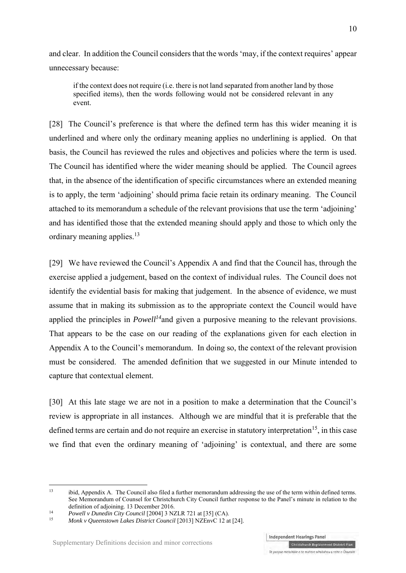and clear. In addition the Council considers that the words 'may, if the context requires' appear unnecessary because:

if the context does not require (i.e. there is not land separated from another land by those specified items), then the words following would not be considered relevant in any event.

[28] The Council's preference is that where the defined term has this wider meaning it is underlined and where only the ordinary meaning applies no underlining is applied. On that basis, the Council has reviewed the rules and objectives and policies where the term is used. The Council has identified where the wider meaning should be applied. The Council agrees that, in the absence of the identification of specific circumstances where an extended meaning is to apply, the term 'adjoining' should prima facie retain its ordinary meaning. The Council attached to its memorandum a schedule of the relevant provisions that use the term 'adjoining' and has identified those that the extended meaning should apply and those to which only the ordinary meaning applies. $13$ 

[29] We have reviewed the Council's Appendix A and find that the Council has, through the exercise applied a judgement, based on the context of individual rules. The Council does not identify the evidential basis for making that judgement. In the absence of evidence, we must assume that in making its submission as to the appropriate context the Council would have applied the principles in *Powell<sup>14</sup>*and given a purposive meaning to the relevant provisions. That appears to be the case on our reading of the explanations given for each election in Appendix A to the Council's memorandum. In doing so, the context of the relevant provision must be considered. The amended definition that we suggested in our Minute intended to capture that contextual element.

[30] At this late stage we are not in a position to make a determination that the Council's review is appropriate in all instances. Although we are mindful that it is preferable that the defined terms are certain and do not require an exercise in statutory interpretation<sup>15</sup>, in this case we find that even the ordinary meaning of 'adjoining' is contextual, and there are some

 $13$ <sup>13</sup> ibid, Appendix A. The Council also filed a further memorandum addressing the use of the term within defined terms. See Memorandum of Counsel for Christchurch City Council further response to the Panel's minute in relation to the definition of adjoining. 13 December 2016.

<sup>14</sup> *Powell v Dunedin City Council* [2004] 3 NZLR 721 at [35] (CA).

<sup>15</sup> *Monk v Queenstown Lakes District Council* [2013] NZEnvC 12 at [24].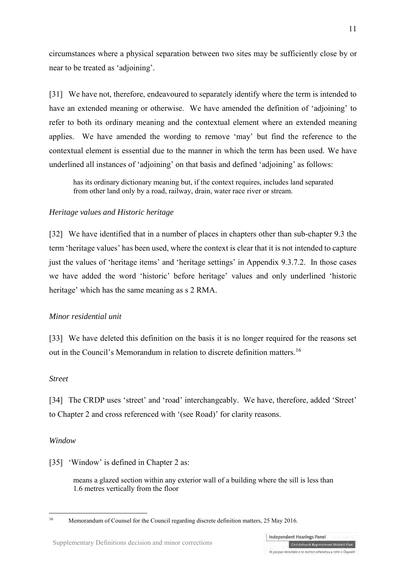circumstances where a physical separation between two sites may be sufficiently close by or near to be treated as 'adjoining'.

[31] We have not, therefore, endeavoured to separately identify where the term is intended to have an extended meaning or otherwise. We have amended the definition of 'adjoining' to refer to both its ordinary meaning and the contextual element where an extended meaning applies. We have amended the wording to remove 'may' but find the reference to the contextual element is essential due to the manner in which the term has been used. We have underlined all instances of 'adjoining' on that basis and defined 'adjoining' as follows:

has its ordinary dictionary meaning but, if the context requires, includes land separated from other land only by a road, railway, drain, water race river or stream.

# *Heritage values and Historic heritage*

[32] We have identified that in a number of places in chapters other than sub-chapter 9.3 the term 'heritage values' has been used, where the context is clear that it is not intended to capture just the values of 'heritage items' and 'heritage settings' in Appendix 9.3.7.2. In those cases we have added the word 'historic' before heritage' values and only underlined 'historic heritage' which has the same meaning as s 2 RMA.

# *Minor residential unit*

[33] We have deleted this definition on the basis it is no longer required for the reasons set out in the Council's Memorandum in relation to discrete definition matters.<sup>16</sup>

#### *Street*

[34] The CRDP uses 'street' and 'road' interchangeably. We have, therefore, added 'Street' to Chapter 2 and cross referenced with '(see Road)' for clarity reasons.

#### *Window*

[35] 'Window' is defined in Chapter 2 as:

means a glazed section within any exterior wall of a building where the sill is less than 1.6 metres vertically from the floor

 $16$ 16 Memorandum of Counsel for the Council regarding discrete definition matters, 25 May 2016.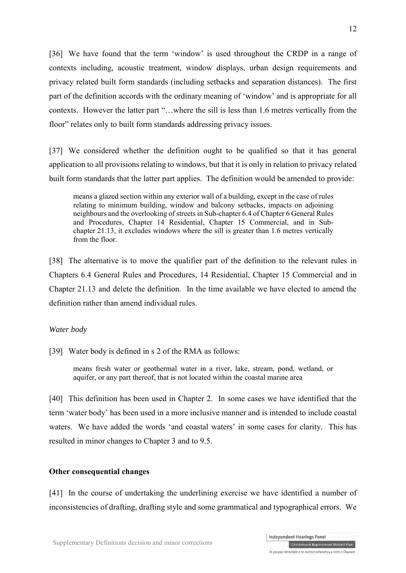[36] We have found that the term 'window' is used throughout the CRDP in a range of contexts including, acoustic treatment, window displays, urban design requirements and privacy related built form standards (including setbacks and separation distances). The first part of the definition accords with the ordinary meaning of 'window' and is appropriate for all contexts. However the latter part "…where the sill is less than 1.6 metres vertically from the floor" relates only to built form standards addressing privacy issues.

[37] We considered whether the definition ought to be qualified so that it has general application to all provisions relating to windows, but that it is only in relation to privacy related built form standards that the latter part applies. The definition would be amended to provide:

means a glazed section within any exterior wall of a building, except in the case of rules relating to minimum building, window and balcony setbacks, impacts on adjoining neighbours and the overlooking of streets in Sub-chapter 6.4 of Chapter 6 General Rules and Procedures, Chapter 14 Residential, Chapter 15 Commercial, and in Subchapter 21.13, it excludes windows where the sill is greater than 1.6 metres vertically from the floor.

[38] The alternative is to move the qualifier part of the definition to the relevant rules in Chapters 6.4 General Rules and Procedures, 14 Residential, Chapter 15 Commercial and in Chapter 21.13 and delete the definition. In the time available we have elected to amend the definition rather than amend individual rules.

#### *Water body*

[39] Water body is defined in s 2 of the RMA as follows:

means fresh water or geothermal water in a river, lake, stream, pond, wetland, or aquifer, or any part thereof, that is not located within the coastal marine area

[40] This definition has been used in Chapter 2. In some cases we have identified that the term 'water body' has been used in a more inclusive manner and is intended to include coastal waters. We have added the words 'and coastal waters' in some cases for clarity. This has resulted in minor changes to Chapter 3 and to 9.5.

# **Other consequential changes**

[41] In the course of undertaking the underlining exercise we have identified a number of inconsistencies of drafting, drafting style and some grammatical and typographical errors. We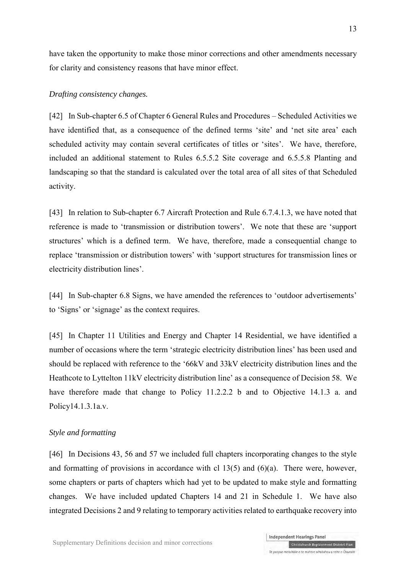have taken the opportunity to make those minor corrections and other amendments necessary for clarity and consistency reasons that have minor effect.

## *Drafting consistency changes.*

[42] In Sub-chapter 6.5 of Chapter 6 General Rules and Procedures – Scheduled Activities we have identified that, as a consequence of the defined terms 'site' and 'net site area' each scheduled activity may contain several certificates of titles or 'sites'. We have, therefore, included an additional statement to Rules 6.5.5.2 Site coverage and 6.5.5.8 Planting and landscaping so that the standard is calculated over the total area of all sites of that Scheduled activity.

[43] In relation to Sub-chapter 6.7 Aircraft Protection and Rule 6.7.4.1.3, we have noted that reference is made to 'transmission or distribution towers'. We note that these are 'support structures' which is a defined term. We have, therefore, made a consequential change to replace 'transmission or distribution towers' with 'support structures for transmission lines or electricity distribution lines'.

[44] In Sub-chapter 6.8 Signs, we have amended the references to 'outdoor advertisements' to 'Signs' or 'signage' as the context requires.

[45] In Chapter 11 Utilities and Energy and Chapter 14 Residential, we have identified a number of occasions where the term 'strategic electricity distribution lines' has been used and should be replaced with reference to the '66kV and 33kV electricity distribution lines and the Heathcote to Lyttelton 11kV electricity distribution line' as a consequence of Decision 58. We have therefore made that change to Policy 11.2.2.2 b and to Objective 14.1.3 a. and Policy14.1.3.1a.v.

## *Style and formatting*

[46] In Decisions 43, 56 and 57 we included full chapters incorporating changes to the style and formatting of provisions in accordance with cl  $13(5)$  and  $(6)(a)$ . There were, however, some chapters or parts of chapters which had yet to be updated to make style and formatting changes. We have included updated Chapters 14 and 21 in Schedule 1. We have also integrated Decisions 2 and 9 relating to temporary activities related to earthquake recovery into

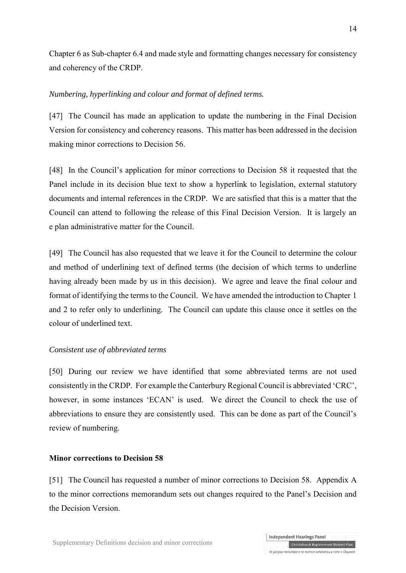Chapter 6 as Sub-chapter 6.4 and made style and formatting changes necessary for consistency and coherency of the CRDP.

# *Numbering, hyperlinking and colour and format of defined terms.*

[47] The Council has made an application to update the numbering in the Final Decision Version for consistency and coherency reasons. This matter has been addressed in the decision making minor corrections to Decision 56.

[48] In the Council's application for minor corrections to Decision 58 it requested that the Panel include in its decision blue text to show a hyperlink to legislation, external statutory documents and internal references in the CRDP. We are satisfied that this is a matter that the Council can attend to following the release of this Final Decision Version. It is largely an e plan administrative matter for the Council.

[49] The Council has also requested that we leave it for the Council to determine the colour and method of underlining text of defined terms (the decision of which terms to underline having already been made by us in this decision). We agree and leave the final colour and format of identifying the terms to the Council. We have amended the introduction to Chapter 1 and 2 to refer only to underlining. The Council can update this clause once it settles on the colour of underlined text.

# *Consistent use of abbreviated terms*

[50] During our review we have identified that some abbreviated terms are not used consistently in the CRDP. For example the Canterbury Regional Council is abbreviated 'CRC', however, in some instances 'ECAN' is used. We direct the Council to check the use of abbreviations to ensure they are consistently used. This can be done as part of the Council's review of numbering.

# **Minor corrections to Decision 58**

[51] The Council has requested a number of minor corrections to Decision 58. Appendix A to the minor corrections memorandum sets out changes required to the Panel's Decision and the Decision Version.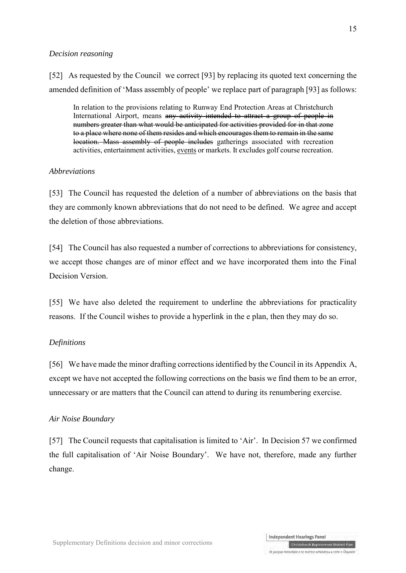## *Decision reasoning*

[52] As requested by the Council we correct [93] by replacing its quoted text concerning the amended definition of 'Mass assembly of people' we replace part of paragraph [93] as follows:

In relation to the provisions relating to Runway End Protection Areas at Christchurch International Airport, means any activity intended to attract a group of people in numbers greater than what would be anticipated for activities provided for in that zone to a place where none of them resides and which encourages them to remain in the same location. Mass assembly of people includes gatherings associated with recreation activities, entertainment activities, events or markets. It excludes golf course recreation.

# *Abbreviations*

[53] The Council has requested the deletion of a number of abbreviations on the basis that they are commonly known abbreviations that do not need to be defined. We agree and accept the deletion of those abbreviations.

[54] The Council has also requested a number of corrections to abbreviations for consistency, we accept those changes are of minor effect and we have incorporated them into the Final Decision Version.

[55] We have also deleted the requirement to underline the abbreviations for practicality reasons. If the Council wishes to provide a hyperlink in the e plan, then they may do so.

#### *Definitions*

[56] We have made the minor drafting corrections identified by the Council in its Appendix A, except we have not accepted the following corrections on the basis we find them to be an error, unnecessary or are matters that the Council can attend to during its renumbering exercise.

#### *Air Noise Boundary*

[57] The Council requests that capitalisation is limited to 'Air'. In Decision 57 we confirmed the full capitalisation of 'Air Noise Boundary'. We have not, therefore, made any further change.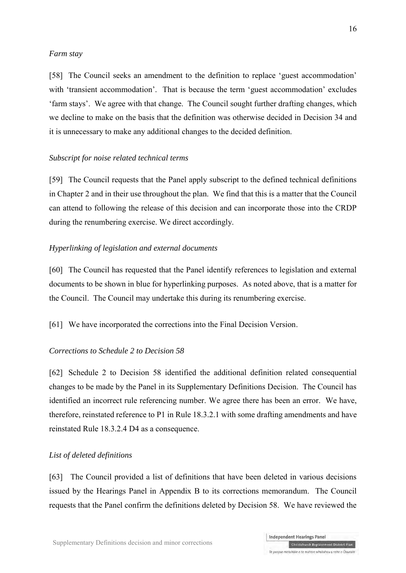#### *Farm stay*

[58] The Council seeks an amendment to the definition to replace 'guest accommodation' with 'transient accommodation'. That is because the term 'guest accommodation' excludes 'farm stays'. We agree with that change. The Council sought further drafting changes, which we decline to make on the basis that the definition was otherwise decided in Decision 34 and it is unnecessary to make any additional changes to the decided definition.

#### *Subscript for noise related technical terms*

[59] The Council requests that the Panel apply subscript to the defined technical definitions in Chapter 2 and in their use throughout the plan. We find that this is a matter that the Council can attend to following the release of this decision and can incorporate those into the CRDP during the renumbering exercise. We direct accordingly.

#### *Hyperlinking of legislation and external documents*

[60] The Council has requested that the Panel identify references to legislation and external documents to be shown in blue for hyperlinking purposes. As noted above, that is a matter for the Council. The Council may undertake this during its renumbering exercise.

[61] We have incorporated the corrections into the Final Decision Version.

#### *Corrections to Schedule 2 to Decision 58*

[62] Schedule 2 to Decision 58 identified the additional definition related consequential changes to be made by the Panel in its Supplementary Definitions Decision. The Council has identified an incorrect rule referencing number. We agree there has been an error. We have, therefore, reinstated reference to P1 in Rule 18.3.2.1 with some drafting amendments and have reinstated Rule 18.3.2.4 D4 as a consequence.

#### *List of deleted definitions*

[63] The Council provided a list of definitions that have been deleted in various decisions issued by the Hearings Panel in Appendix B to its corrections memorandum. The Council requests that the Panel confirm the definitions deleted by Decision 58. We have reviewed the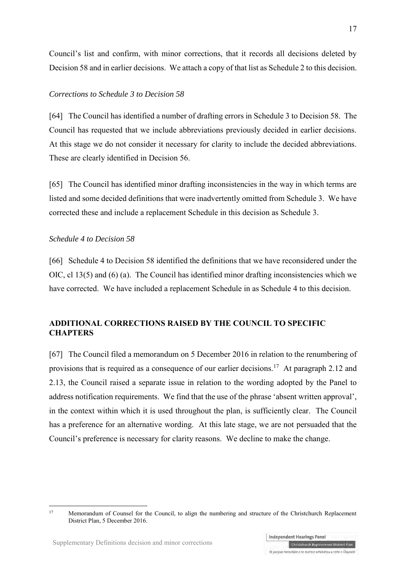Council's list and confirm, with minor corrections, that it records all decisions deleted by Decision 58 and in earlier decisions. We attach a copy of that list as Schedule 2 to this decision.

# *Corrections to Schedule 3 to Decision 58*

[64] The Council has identified a number of drafting errors in Schedule 3 to Decision 58. The Council has requested that we include abbreviations previously decided in earlier decisions. At this stage we do not consider it necessary for clarity to include the decided abbreviations. These are clearly identified in Decision 56.

[65] The Council has identified minor drafting inconsistencies in the way in which terms are listed and some decided definitions that were inadvertently omitted from Schedule 3. We have corrected these and include a replacement Schedule in this decision as Schedule 3.

# *Schedule 4 to Decision 58*

[66] Schedule 4 to Decision 58 identified the definitions that we have reconsidered under the OIC, cl 13(5) and (6) (a). The Council has identified minor drafting inconsistencies which we have corrected. We have included a replacement Schedule in as Schedule 4 to this decision.

# **ADDITIONAL CORRECTIONS RAISED BY THE COUNCIL TO SPECIFIC CHAPTERS**

[67] The Council filed a memorandum on 5 December 2016 in relation to the renumbering of provisions that is required as a consequence of our earlier decisions.<sup>17</sup> At paragraph 2.12 and 2.13, the Council raised a separate issue in relation to the wording adopted by the Panel to address notification requirements. We find that the use of the phrase 'absent written approval', in the context within which it is used throughout the plan, is sufficiently clear. The Council has a preference for an alternative wording. At this late stage, we are not persuaded that the Council's preference is necessary for clarity reasons. We decline to make the change.

 $17$ <sup>17</sup> Memorandum of Counsel for the Council, to align the numbering and structure of the Christchurch Replacement District Plan, 5 December 2016.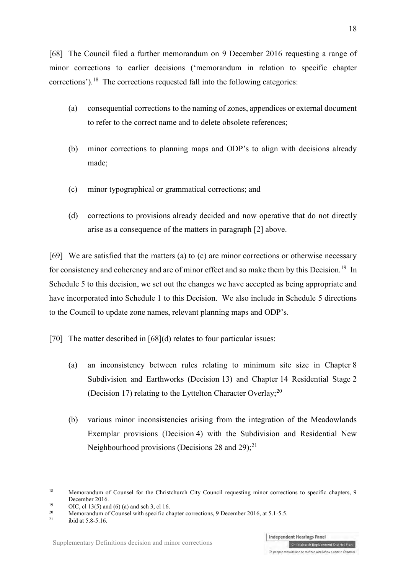[68] The Council filed a further memorandum on 9 December 2016 requesting a range of minor corrections to earlier decisions ('memorandum in relation to specific chapter corrections').<sup>18</sup> The corrections requested fall into the following categories:

- (a) consequential corrections to the naming of zones, appendices or external document to refer to the correct name and to delete obsolete references;
- (b) minor corrections to planning maps and ODP's to align with decisions already made;
- (c) minor typographical or grammatical corrections; and
- <span id="page-17-0"></span>(d) corrections to provisions already decided and now operative that do not directly arise as a consequence of the matters in paragraph [2] above.

[69] We are satisfied that the matters (a) to (c) are minor corrections or otherwise necessary for consistency and coherency and are of minor effect and so make them by this Decision.<sup>19</sup> In Schedule 5 to this decision, we set out the changes we have accepted as being appropriate and have incorporated into Schedule 1 to this Decision. We also include in Schedule 5 directions to the Council to update zone names, relevant planning maps and ODP's.

<span id="page-17-1"></span>[70] The matter described in [\[68\]\(d\)](#page-17-0) relates to four particular issues:

- (a) an inconsistency between rules relating to minimum site size in Chapter 8 Subdivision and Earthworks (Decision 13) and Chapter 14 Residential Stage 2 (Decision 17) relating to the Lyttelton Character Overlay; $^{20}$
- (b) various minor inconsistencies arising from the integration of the Meadowlands Exemplar provisions (Decision 4) with the Subdivision and Residential New Neighbourhood provisions (Decisions 28 and 29); $^{21}$

<sup>18</sup> Memorandum of Counsel for the Christchurch City Council requesting minor corrections to specific chapters, 9 December 2016.

<sup>&</sup>lt;sup>19</sup> OIC, cl 13(5) and (6) (a) and sch 3, cl 16.<br>
<sup>20</sup> Management on a Connect with graphs allows:

<sup>&</sup>lt;sup>20</sup> Memorandum of Counsel with specific chapter corrections, 9 December 2016, at 5.1-5.5.<br><sup>21</sup> ibid at 5.8.5.16

ibid at 5.8-5.16.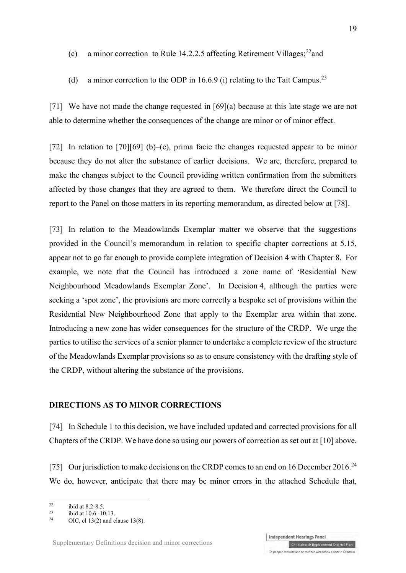(c) a minor correction to Rule 14.2.2.5 affecting Retirement Villages;<sup>22</sup>and

(d) a minor correction to the ODP in 16.6.9 (i) relating to the Tait Campus.<sup>23</sup>

[71] We have not made the change requested in [69](a) because at this late stage we are not able to determine whether the consequences of the change are minor or of minor effect.

<span id="page-18-0"></span>[72] In relation to  $[70][69]$  (b)–(c), prima facie the changes requested appear to be minor because they do not alter the substance of earlier decisions. We are, therefore, prepared to make the changes subject to the Council providing written confirmation from the submitters affected by those changes that they are agreed to them. We therefore direct the Council to report to the Panel on those matters in its reporting memorandum, as directed below at [\[78\].](#page-19-0)

[73] In relation to the Meadowlands Exemplar matter we observe that the suggestions provided in the Council's memorandum in relation to specific chapter corrections at 5.15, appear not to go far enough to provide complete integration of Decision 4 with Chapter 8. For example, we note that the Council has introduced a zone name of 'Residential New Neighbourhood Meadowlands Exemplar Zone'. In Decision 4, although the parties were seeking a 'spot zone', the provisions are more correctly a bespoke set of provisions within the Residential New Neighbourhood Zone that apply to the Exemplar area within that zone. Introducing a new zone has wider consequences for the structure of the CRDP. We urge the parties to utilise the services of a senior planner to undertake a complete review of the structure of the Meadowlands Exemplar provisions so as to ensure consistency with the drafting style of the CRDP, without altering the substance of the provisions.

# **DIRECTIONS AS TO MINOR CORRECTIONS**

[74] In Schedule 1 to this decision, we have included updated and corrected provisions for all Chapters of the CRDP. We have done so using our powers of correction as set out at [\[10\] a](#page-5-0)bove.

[75] Our jurisdiction to make decisions on the CRDP comes to an end on 16 December 2016.<sup>24</sup> We do, however, anticipate that there may be minor errors in the attached Schedule that,

<u>.</u>

 $^{22}$  ibid at 8.2-8.5.

 $\frac{23}{24}$  ibid at 10.6 -10.13.

OIC, cl  $13(2)$  and clause  $13(8)$ .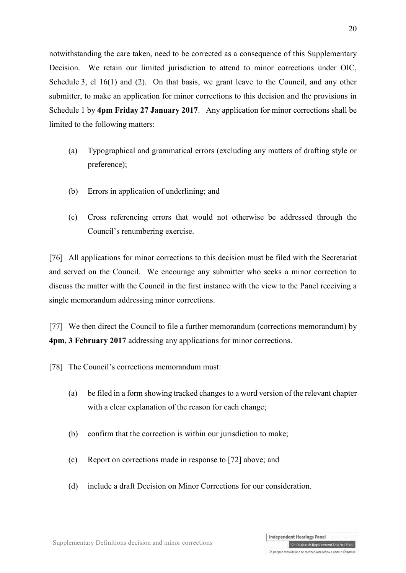notwithstanding the care taken, need to be corrected as a consequence of this Supplementary Decision. We retain our limited jurisdiction to attend to minor corrections under OIC, Schedule 3, cl 16(1) and (2). On that basis, we grant leave to the Council, and any other submitter, to make an application for minor corrections to this decision and the provisions in Schedule 1 by **4pm Friday 27 January 2017**. Any application for minor corrections shall be limited to the following matters:

- (a) Typographical and grammatical errors (excluding any matters of drafting style or preference);
- (b) Errors in application of underlining; and
- (c) Cross referencing errors that would not otherwise be addressed through the Council's renumbering exercise.

[76] All applications for minor corrections to this decision must be filed with the Secretariat and served on the Council. We encourage any submitter who seeks a minor correction to discuss the matter with the Council in the first instance with the view to the Panel receiving a single memorandum addressing minor corrections.

[77] We then direct the Council to file a further memorandum (corrections memorandum) by **4pm, 3 February 2017** addressing any applications for minor corrections.

- <span id="page-19-0"></span>[78] The Council's corrections memorandum must:
	- (a) be filed in a form showing tracked changes to a word version of the relevant chapter with a clear explanation of the reason for each change;
	- (b) confirm that the correction is within our jurisdiction to make;
	- (c) Report on corrections made in response to [\[72\]](#page-18-0) above; and
	- (d) include a draft Decision on Minor Corrections for our consideration.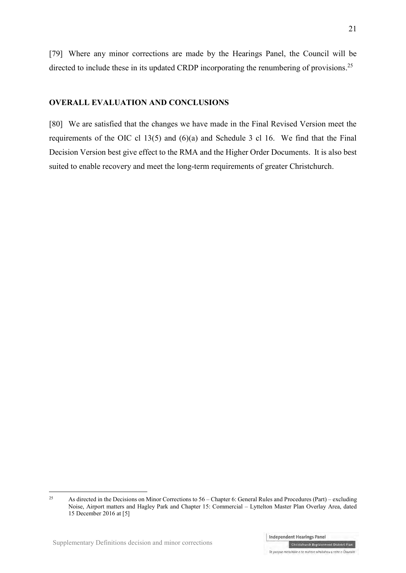[79] Where any minor corrections are made by the Hearings Panel, the Council will be directed to include these in its updated CRDP incorporating the renumbering of provisions.<sup>25</sup>

# **OVERALL EVALUATION AND CONCLUSIONS**

[80] We are satisfied that the changes we have made in the Final Revised Version meet the requirements of the OIC cl 13(5) and (6)(a) and Schedule 3 cl 16. We find that the Final Decision Version best give effect to the RMA and the Higher Order Documents. It is also best suited to enable recovery and meet the long-term requirements of greater Christchurch.

 $25$ <sup>25</sup> As directed in the Decisions on Minor Corrections to 56 – Chapter 6: General Rules and Procedures (Part) – excluding Noise, Airport matters and Hagley Park and Chapter 15: Commercial – Lyttelton Master Plan Overlay Area, dated 15 December 2016 at [5]

Te paepae motuhake o te mahere whakahou a rohe o Ōtautahi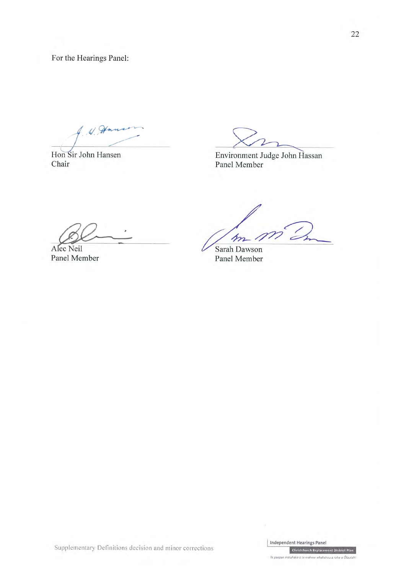For the Hearings Panel:

W. How

Hon Sir John Hansen Chair

Environment Judge John Hassan Panel Member

Alec Neil Panel Member

m

Sarah Dawson Panel Member

Supplementary Definitions decision and minor corrections

Te pa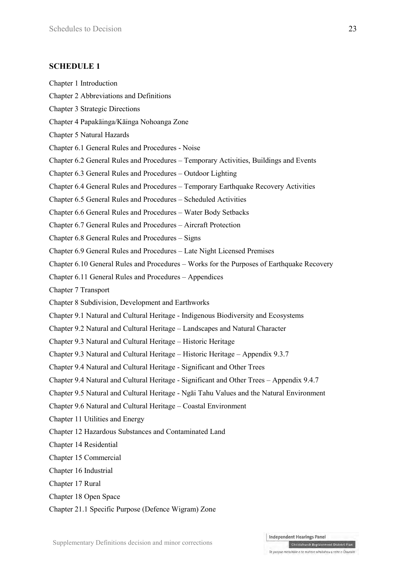# **SCHEDULE 1**

- Chapter 1 Introduction
- Chapter 2 Abbreviations and Definitions
- Chapter 3 Strategic Directions
- Chapter 4 Papakāinga/Kāinga Nohoanga Zone
- Chapter 5 Natural Hazards
- Chapter 6.1 General Rules and Procedures Noise
- Chapter 6.2 General Rules and Procedures Temporary Activities, Buildings and Events
- Chapter 6.3 General Rules and Procedures Outdoor Lighting
- Chapter 6.4 General Rules and Procedures Temporary Earthquake Recovery Activities
- Chapter 6.5 General Rules and Procedures Scheduled Activities
- Chapter 6.6 General Rules and Procedures Water Body Setbacks
- Chapter 6.7 General Rules and Procedures Aircraft Protection
- Chapter 6.8 General Rules and Procedures Signs
- Chapter 6.9 General Rules and Procedures Late Night Licensed Premises
- Chapter 6.10 General Rules and Procedures Works for the Purposes of Earthquake Recovery
- Chapter 6.11 General Rules and Procedures Appendices
- Chapter 7 Transport
- Chapter 8 Subdivision, Development and Earthworks
- Chapter 9.1 Natural and Cultural Heritage Indigenous Biodiversity and Ecosystems
- Chapter 9.2 Natural and Cultural Heritage Landscapes and Natural Character
- Chapter 9.3 Natural and Cultural Heritage Historic Heritage
- Chapter 9.3 Natural and Cultural Heritage Historic Heritage Appendix 9.3.7
- Chapter 9.4 Natural and Cultural Heritage Significant and Other Trees
- Chapter 9.4 Natural and Cultural Heritage Significant and Other Trees Appendix 9.4.7
- Chapter 9.5 Natural and Cultural Heritage Ngāi Tahu Values and the Natural Environment
- Chapter 9.6 Natural and Cultural Heritage Coastal Environment
- Chapter 11 Utilities and Energy
- Chapter 12 Hazardous Substances and Contaminated Land
- Chapter 14 Residential
- Chapter 15 Commercial
- Chapter 16 Industrial
- Chapter 17 Rural
- Chapter 18 Open Space
- Chapter 21.1 Specific Purpose (Defence Wigram) Zone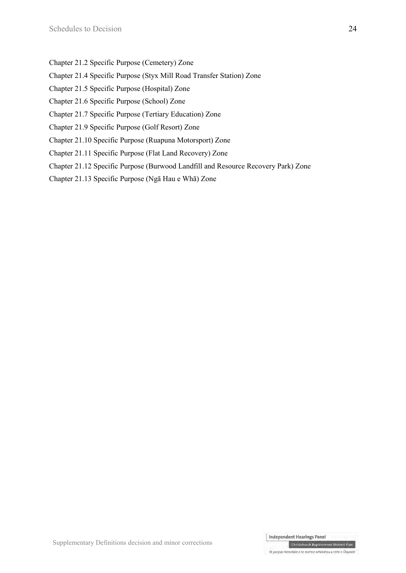- Chapter 21.2 Specific Purpose (Cemetery) Zone
- Chapter 21.4 Specific Purpose (Styx Mill Road Transfer Station) Zone
- Chapter 21.5 Specific Purpose (Hospital) Zone
- Chapter 21.6 Specific Purpose (School) Zone
- Chapter 21.7 Specific Purpose (Tertiary Education) Zone
- Chapter 21.9 Specific Purpose (Golf Resort) Zone
- Chapter 21.10 Specific Purpose (Ruapuna Motorsport) Zone
- Chapter 21.11 Specific Purpose (Flat Land Recovery) Zone
- Chapter 21.12 Specific Purpose (Burwood Landfill and Resource Recovery Park) Zone
- Chapter 21.13 Specific Purpose (Ngā Hau e Whā) Zone

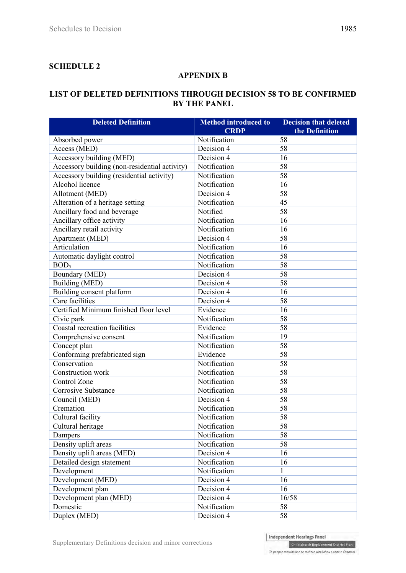# **SCHEDULE 2**

# **APPENDIX B**

# **LIST OF DELETED DEFINITIONS THROUGH DECISION 58 TO BE CONFIRMED BY THE PANEL**

| <b>Deleted Definition</b>                     | <b>Method introduced to</b><br><b>CRDP</b> | <b>Decision that deleted</b><br>the Definition |
|-----------------------------------------------|--------------------------------------------|------------------------------------------------|
| Absorbed power                                | Notification                               | 58                                             |
| Access (MED)                                  | Decision 4                                 | 58                                             |
| Accessory building (MED)                      | Decision 4                                 | 16                                             |
| Accessory building (non-residential activity) | Notification                               | 58                                             |
| Accessory building (residential activity)     | Notification                               | 58                                             |
| Alcohol licence                               | Notification                               | 16                                             |
| Allotment (MED)                               | Decision 4                                 | $\overline{58}$                                |
| Alteration of a heritage setting              | Notification                               | 45                                             |
| Ancillary food and beverage                   | Notified                                   | 58                                             |
| Ancillary office activity                     | Notification                               | 16                                             |
| Ancillary retail activity                     | Notification                               | 16                                             |
| Apartment (MED)                               | Decision 4                                 | 58                                             |
| Articulation                                  | Notification                               | 16                                             |
| Automatic daylight control                    | Notification                               | 58                                             |
| BOD <sub>5</sub>                              | Notification                               | 58                                             |
| Boundary (MED)                                | Decision 4                                 | 58                                             |
| Building (MED)                                | Decision 4                                 | $\overline{58}$                                |
| Building consent platform                     | Decision 4                                 | 16                                             |
| Care facilities                               | Decision 4                                 | 58                                             |
| Certified Minimum finished floor level        | Evidence                                   | 16                                             |
| Civic park                                    | Notification                               | 58                                             |
| <b>Coastal recreation facilities</b>          | Evidence                                   | $\overline{58}$                                |
| Comprehensive consent                         | Notification                               | 19                                             |
| Concept plan                                  | Notification                               | 58                                             |
| Conforming prefabricated sign                 | Evidence                                   | 58                                             |
| Conservation                                  | Notification                               | 58                                             |
| Construction work                             | Notification                               | $\overline{58}$                                |
| Control Zone                                  | Notification                               | $\overline{58}$                                |
| <b>Corrosive Substance</b>                    | Notification                               | $\overline{58}$                                |
| Council (MED)                                 | Decision 4                                 | 58                                             |
| Cremation                                     | Notification                               | 58                                             |
| Cultural facility                             | Notification                               | 58                                             |
| Cultural heritage                             | Notification                               | 58                                             |
| Dampers                                       | Notification                               | 58                                             |
| Density uplift areas                          | Notification                               | 58                                             |
| Density uplift areas (MED)                    | Decision 4                                 | 16                                             |
| Detailed design statement                     | Notification                               | 16                                             |
| Development                                   | Notification                               | $\mathbf{1}$                                   |
| Development (MED)                             | Decision 4                                 | 16                                             |
| Development plan                              | Decision 4                                 | 16                                             |
| Development plan (MED)                        | Decision 4                                 | 16/58                                          |
| Domestic                                      | Notification                               | 58                                             |
| Duplex (MED)                                  | Decision 4                                 | 58                                             |

Supplementary Definitions decision and minor corrections

Independent Hearings Panel

Christchurch Replacement District Plan Te paepae motuhake o te mahere whakahou a rohe o Ōtautahi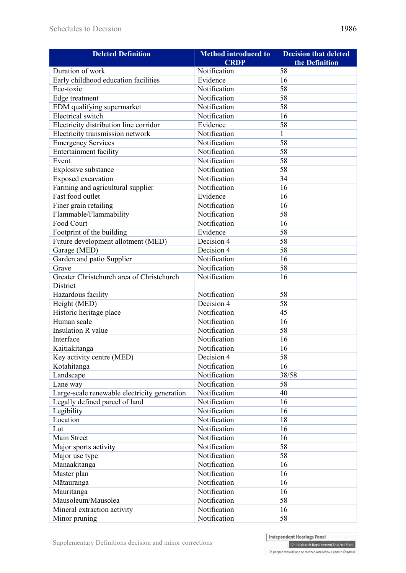| <b>Deleted Definition</b>                    | <b>Method introduced to</b> | <b>Decision that deleted</b> |
|----------------------------------------------|-----------------------------|------------------------------|
|                                              | <b>CRDP</b>                 | the Definition               |
| Duration of work                             | Notification                | 58                           |
| Early childhood education facilities         | Evidence                    | 16                           |
| Eco-toxic                                    | Notification                | 58                           |
| Edge treatment                               | Notification                | 58                           |
| EDM qualifying supermarket                   | Notification                | 58                           |
| <b>Electrical</b> switch                     | Notification                | 16                           |
| Electricity distribution line corridor       | Evidence                    | 58                           |
| Electricity transmission network             | Notification                | $\mathbf{1}$                 |
| <b>Emergency Services</b>                    | Notification                | 58                           |
| <b>Entertainment facility</b>                | Notification                | 58                           |
| Event                                        | Notification                | 58                           |
| Explosive substance                          | Notification                | 58                           |
| Exposed excavation                           | Notification                | 34                           |
| Farming and agricultural supplier            | Notification                | 16                           |
| Fast food outlet                             | Evidence                    | 16                           |
| Finer grain retailing                        | Notification                | 16                           |
| Flammable/Flammability                       | Notification                | 58                           |
| <b>Food Court</b>                            | Notification                | 16                           |
| Footprint of the building                    | Evidence                    | 58                           |
| Future development allotment (MED)           | Decision 4                  | 58                           |
| Garage (MED)                                 | Decision 4                  | 58                           |
| Garden and patio Supplier                    | Notification                | 16                           |
| Grave                                        | Notification                | 58                           |
| Greater Christchurch area of Christchurch    | Notification                | 16                           |
| District                                     |                             |                              |
| Hazardous facility                           | Notification                | 58                           |
| Height (MED)                                 | Decision 4                  | 58                           |
| Historic heritage place                      | Notification                | 45                           |
| Human scale                                  | Notification                | 16                           |
| <b>Insulation R</b> value                    | Notification                | 58                           |
| Interface                                    | Notification                | 16                           |
| Kaitiakitanga                                | Notification                | 16                           |
| Key activity centre (MED)                    | Decision 4                  | 58                           |
| Kotahitanga                                  | Notification                | 16                           |
| Landscape                                    | Notification                | 38/58                        |
| Lane way                                     | Notification                | 58                           |
| Large-scale renewable electricity generation | Notification                | 40                           |
| Legally defined parcel of land               | Notification                | 16                           |
| Legibility                                   | Notification                | 16                           |
| Location                                     | Notification                | 18                           |
| Lot                                          | Notification                | 16                           |
| Main Street                                  | Notification                | 16                           |
| Major sports activity                        | Notification                | 58                           |
| Major use type                               | Notification                | 58                           |
| Manaakitanga                                 | Notification                | 16                           |
| Master plan                                  | Notification                | 16                           |
| Mātauranga                                   | Notification                | 16                           |
| Mauritanga                                   | Notification                | 16                           |
| Mausoleum/Mausolea                           | Notification                | 58                           |
| Mineral extraction activity                  | Notification                | 16                           |
|                                              |                             |                              |
| Minor pruning                                | Notification                | 58                           |

Supplementary Definitions decision and minor corrections

Independent Hearings Panel

Christchurch Replacement District Plan Te paepae motuhake o te mahere whakahou a rohe o Ōtautahi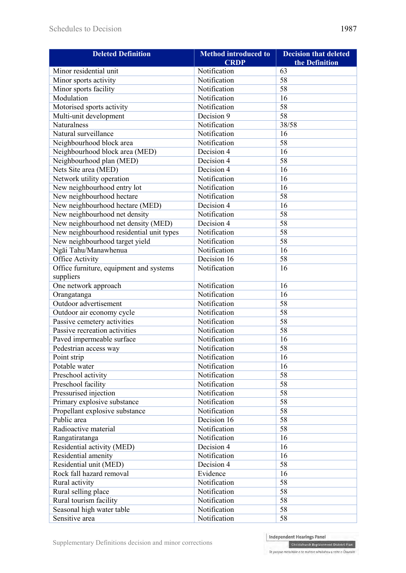| <b>Deleted Definition</b>                | <b>Method introduced to</b> | <b>Decision that deleted</b> |
|------------------------------------------|-----------------------------|------------------------------|
|                                          | <b>CRDP</b>                 | the Definition               |
| Minor residential unit                   | Notification                | 63                           |
| Minor sports activity                    | Notification                | 58                           |
| Minor sports facility                    | Notification                | 58                           |
| Modulation                               | Notification                | 16                           |
| Motorised sports activity                | Notification                | 58                           |
| Multi-unit development                   | Decision 9                  | 58                           |
| Naturalness                              | Notification                | 38/58                        |
| Natural surveillance                     | Notification                | 16                           |
| Neighbourhood block area                 | Notification                | 58                           |
| Neighbourhood block area (MED)           | Decision 4                  | 16                           |
| Neighbourhood plan (MED)                 | Decision 4                  | 58                           |
| Nets Site area (MED)                     | Decision 4                  | 16                           |
| Network utility operation                | Notification                | 16                           |
| New neighbourhood entry lot              | Notification                | 16                           |
| New neighbourhood hectare                | Notification                | 58                           |
| New neighbourhood hectare (MED)          | Decision 4                  | 16                           |
| New neighbourhood net density            | Notification                | $\overline{58}$              |
| New neighbourhood net density (MED)      | Decision 4                  | $\overline{58}$              |
| New neighbourhood residential unit types | Notification                | 58                           |
| New neighbourhood target yield           | Notification                | 58                           |
| Ngāi Tahu/Manawhenua                     | Notification                | 16                           |
| <b>Office Activity</b>                   | Decision 16                 | $\overline{58}$              |
| Office furniture, equipment and systems  | Notification                | 16                           |
| suppliers                                |                             |                              |
| One network approach                     | Notification                | 16                           |
| Orangatanga                              | Notification                | 16                           |
| Outdoor advertisement                    | Notification                | 58                           |
| Outdoor air economy cycle                | Notification                | 58                           |
| Passive cemetery activities              | Notification                | $\overline{58}$              |
| Passive recreation activities            | Notification                | 58                           |
| Paved impermeable surface                | Notification                | 16                           |
| Pedestrian access way                    | Notification                | 58                           |
| Point strip                              | Notification                | 16                           |
| Potable water                            | Notification                | 16                           |
| Preschool activity                       | Notification                | 58                           |
| Preschool facility                       | Notification                | 58                           |
| Pressurised injection                    | Notification                | 58                           |
| Primary explosive substance              | Notification                | 58                           |
| Propellant explosive substance           | Notification                | 58                           |
| Public area                              | Decision 16                 | 58                           |
| Radioactive material                     | Notification                | 58                           |
| Rangatiratanga                           | Notification                | 16                           |
| Residential activity (MED)               | Decision 4                  | 16                           |
| Residential amenity                      | Notification                | 16                           |
| Residential unit (MED)                   | Decision 4                  | 58                           |
| Rock fall hazard removal                 | Evidence                    | 16                           |
| Rural activity                           | Notification                | 58                           |
| Rural selling place                      | Notification                | 58                           |
| Rural tourism facility                   | Notification                | 58                           |
| Seasonal high water table                | Notification                | 58                           |
| Sensitive area                           | Notification                | 58                           |
|                                          |                             |                              |

Independent Hearings Panel Christchurch Replacement District Plan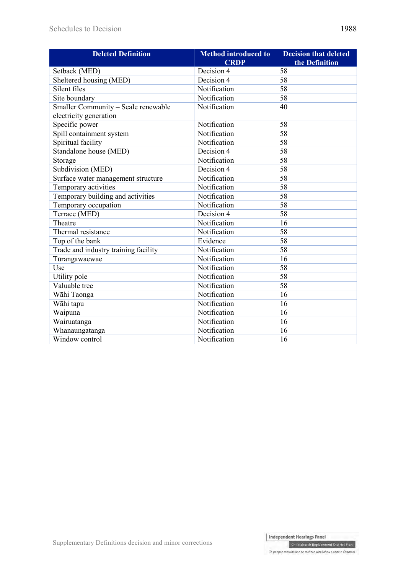| <b>Deleted Definition</b>            | <b>Method introduced to</b><br><b>CRDP</b> | <b>Decision that deleted</b><br>the Definition |
|--------------------------------------|--------------------------------------------|------------------------------------------------|
| Setback (MED)                        | Decision 4                                 | 58                                             |
| Sheltered housing (MED)              | Decision 4                                 | 58                                             |
| Silent files                         | Notification                               | $\overline{58}$                                |
| Site boundary                        | Notification                               | $\overline{58}$                                |
| Smaller Community - Seale renewable  | Notification                               | 40                                             |
| electricity generation               |                                            |                                                |
| Specific power                       | Notification                               | 58                                             |
| Spill containment system             | Notification                               | 58                                             |
| Spiritual facility                   | Notification                               | 58                                             |
| Standalone house (MED)               | Decision 4                                 | 58                                             |
| Storage                              | Notification                               | $\overline{58}$                                |
| Subdivision (MED)                    | Decision 4                                 | $\overline{58}$                                |
| Surface water management structure   | Notification                               | $\overline{58}$                                |
| Temporary activities                 | Notification                               | 58                                             |
| Temporary building and activities    | Notification                               | 58                                             |
| Temporary occupation                 | Notification                               | 58                                             |
| Terrace (MED)                        | Decision 4                                 | $\overline{58}$                                |
| Theatre                              | Notification                               | 16                                             |
| Thermal resistance                   | Notification                               | $\overline{58}$                                |
| Top of the bank                      | Evidence                                   | $\overline{58}$                                |
| Trade and industry training facility | Notification                               | $\overline{58}$                                |
| Tūrangawaewae                        | Notification                               | 16                                             |
| Use                                  | Notification                               | 58                                             |
| Utility pole                         | Notification                               | $\overline{58}$                                |
| Valuable tree                        | Notification                               | 58                                             |
| Wāhi Taonga                          | Notification                               | 16                                             |
| Wāhi tapu                            | Notification                               | 16                                             |
| Waipuna                              | Notification                               | 16                                             |
| Wairuatanga                          | Notification                               | 16                                             |
| Whanaungatanga                       | Notification                               | 16                                             |
| Window control                       | Notification                               | 16                                             |

**Christchurch Replacement District Plan**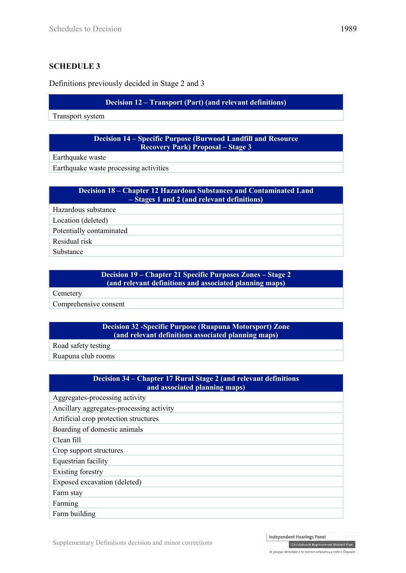# **SCHEDULE 3**

Definitions previously decided in Stage 2 and 3

# **Decision 12 – Transport (Part) (and relevant definitions)**

Transport system

#### **Decision 14 – Specific Purpose (Burwood Landfill and Resource Recovery Park) Proposal – Stage 3**

Earthquake waste

Earthquake waste processing activities

# **Decision 18 – Chapter 12 Hazardous Substances and Contaminated Land – Stages 1 and 2 (and relevant definitions)**

Hazardous substance

Location (deleted)

Potentially contaminated

Residual risk

Substance

## **Decision 19 – Chapter 21 Specific Purposes Zones – Stage 2 (and relevant definitions and associated planning maps)**

**Cemetery** 

Comprehensive consent

# **Decision 32 -Specific Purpose (Ruapuna Motorsport) Zone (and relevant definitions associated planning maps)**

Road safety testing

Ruapuna club rooms

# **Decision 34 – Chapter 17 Rural Stage 2 (and relevant definitions and associated planning maps)** Aggregates-processing activity Ancillary aggregates-processing activity Artificial crop protection structures Boarding of domestic animals Clean fill Crop support structures Equestrian facility Existing forestry Exposed excavation (deleted) Farm stay Farming Farm building

Christchurch Replacement District Plan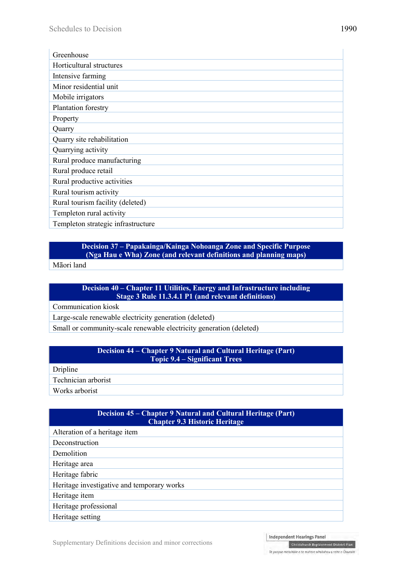| Greenhouse                         |
|------------------------------------|
| Horticultural structures           |
| Intensive farming                  |
| Minor residential unit             |
| Mobile irrigators                  |
| Plantation forestry                |
| Property                           |
| Quarry                             |
| Quarry site rehabilitation         |
| Quarrying activity                 |
| Rural produce manufacturing        |
| Rural produce retail               |
| Rural productive activities        |
| Rural tourism activity             |
| Rural tourism facility (deleted)   |
| Templeton rural activity           |
| Templeton strategic infrastructure |

#### **Decision 37 – Papakainga/Kainga Nohoanga Zone and Specific Purpose (Nga Hau e Wha) Zone (and relevant definitions and planning maps)**

Māori land

# **Decision 40 – Chapter 11 Utilities, Energy and Infrastructure including Stage 3 Rule 11.3.4.1 P1 (and relevant definitions)**

Communication kiosk

Large-scale renewable electricity generation (deleted)

Small or community-scale renewable electricity generation (deleted)

| <b>Decision 44 – Chapter 9 Natural and Cultural Heritage (Part)</b><br><b>Topic 9.4 – Significant Trees</b> |  |
|-------------------------------------------------------------------------------------------------------------|--|
| Dripline                                                                                                    |  |
| Technician arborist                                                                                         |  |
| Works arborist                                                                                              |  |

| Decision 45 – Chapter 9 Natural and Cultural Heritage (Part)<br><b>Chapter 9.3 Historic Heritage</b> |  |  |
|------------------------------------------------------------------------------------------------------|--|--|
| Alteration of a heritage item                                                                        |  |  |
| Deconstruction                                                                                       |  |  |
| Demolition                                                                                           |  |  |
| Heritage area                                                                                        |  |  |
| Heritage fabric                                                                                      |  |  |
| Heritage investigative and temporary works                                                           |  |  |
| Heritage item                                                                                        |  |  |
| Heritage professional                                                                                |  |  |
| Heritage setting                                                                                     |  |  |

Independent Hearings Panel

Christchurch Replacement District Plan Te paepae motuhake o te mahere whakahou a rohe o Ōtautahi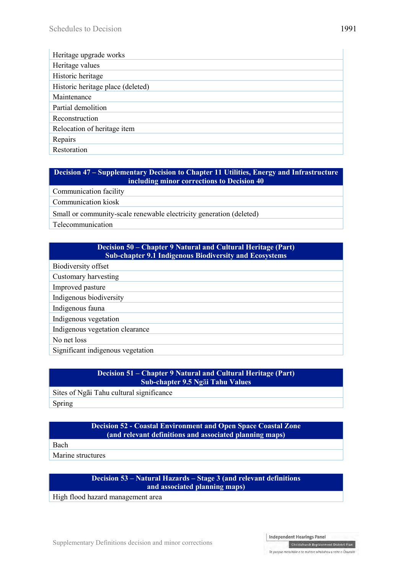| Heritage upgrade works            |
|-----------------------------------|
| Heritage values                   |
| Historic heritage                 |
| Historic heritage place (deleted) |
| Maintenance                       |
| Partial demolition                |
| Reconstruction                    |
| Relocation of heritage item       |
| Repairs                           |
| Restoration                       |

## **Decision 47 – Supplementary Decision to Chapter 11 Utilities, Energy and Infrastructure including minor corrections to Decision 40**

Communication facility

Communication kiosk

Small or community-scale renewable electricity generation (deleted)

Telecommunication

## **Decision 50 – Chapter 9 Natural and Cultural Heritage (Part) Sub-chapter 9.1 Indigenous Biodiversity and Ecosystems**

Biodiversity offset

Customary harvesting

Improved pasture

Indigenous biodiversity

Indigenous fauna

Indigenous vegetation

Indigenous vegetation clearance

No net loss

Significant indigenous vegetation

# **Decision 51 – Chapter 9 Natural and Cultural Heritage (Part) Sub-chapter 9.5 Ng**ā**i Tahu Values** Sites of Ngāi Tahu cultural significance Spring

#### **Decision 52 - Coastal Environment and Open Space Coastal Zone (and relevant definitions and associated planning maps)**

Bach

Marine structures

# **Decision 53 – Natural Hazards – Stage 3 (and relevant definitions and associated planning maps)**

High flood hazard management area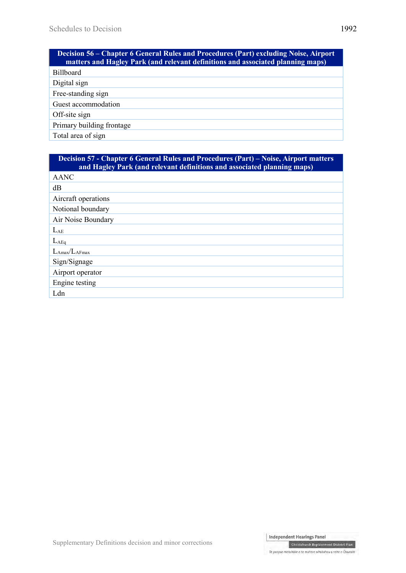| <b>Decision 56 – Chapter 6 General Rules and Procedures (Part) excluding Noise, Airport</b><br>matters and Hagley Park (and relevant definitions and associated planning maps) |
|--------------------------------------------------------------------------------------------------------------------------------------------------------------------------------|
| <b>Billboard</b>                                                                                                                                                               |
| Digital sign                                                                                                                                                                   |
| Free-standing sign                                                                                                                                                             |
| Guest accommodation                                                                                                                                                            |
| Off-site sign                                                                                                                                                                  |
| Primary building frontage                                                                                                                                                      |
| Total area of sign                                                                                                                                                             |

| <b>Decision 57 - Chapter 6 General Rules and Procedures (Part) – Noise, Airport matters</b><br>and Hagley Park (and relevant definitions and associated planning maps) |
|------------------------------------------------------------------------------------------------------------------------------------------------------------------------|
| <b>AANC</b>                                                                                                                                                            |
| dB                                                                                                                                                                     |
| Aircraft operations                                                                                                                                                    |
| Notional boundary                                                                                                                                                      |
| Air Noise Boundary                                                                                                                                                     |
| $L_{AE}$                                                                                                                                                               |
| $L_{\rm AEq}$                                                                                                                                                          |
| $L_{\rm Amax}/L_{\rm AFmax}$                                                                                                                                           |
| Sign/Signage                                                                                                                                                           |
| Airport operator                                                                                                                                                       |
| Engine testing                                                                                                                                                         |
| Ldn                                                                                                                                                                    |

Christchurch Replacement District Plan Te paepae motuhake o te mahere whakahou a rohe o Ōtautahi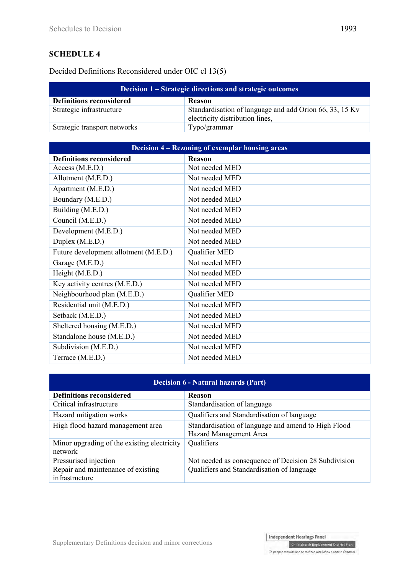# **SCHEDULE 4**

Decided Definitions Reconsidered under OIC cl 13(5)

| Decision 1 – Strategic directions and strategic outcomes |                                                                                            |
|----------------------------------------------------------|--------------------------------------------------------------------------------------------|
| <b>Definitions reconsidered</b>                          | <b>Reason</b>                                                                              |
| Strategic infrastructure                                 | Standardisation of language and add Orion 66, 33, 15 Kv<br>electricity distribution lines, |
| Strategic transport networks                             | Typo/grammar                                                                               |

| <b>Decision 4 – Rezoning of exemplar housing areas</b> |                |
|--------------------------------------------------------|----------------|
| <b>Definitions reconsidered</b>                        | <b>Reason</b>  |
| Access (M.E.D.)                                        | Not needed MED |
| Allotment (M.E.D.)                                     | Not needed MED |
| Apartment (M.E.D.)                                     | Not needed MED |
| Boundary (M.E.D.)                                      | Not needed MED |
| Building (M.E.D.)                                      | Not needed MED |
| Council (M.E.D.)                                       | Not needed MED |
| Development (M.E.D.)                                   | Not needed MED |
| Duplex (M.E.D.)                                        | Not needed MED |
| Future development allotment (M.E.D.)                  | Qualifier MED  |
| Garage (M.E.D.)                                        | Not needed MED |
| Height (M.E.D.)                                        | Not needed MED |
| Key activity centres (M.E.D.)                          | Not needed MED |
| Neighbourhood plan (M.E.D.)                            | Qualifier MED  |
| Residential unit (M.E.D.)                              | Not needed MED |
| Setback (M.E.D.)                                       | Not needed MED |
| Sheltered housing (M.E.D.)                             | Not needed MED |
| Standalone house (M.E.D.)                              | Not needed MED |
| Subdivision (M.E.D.)                                   | Not needed MED |
| Terrace (M.E.D.)                                       | Not needed MED |

| <b>Decision 6 - Natural hazards (Part)</b>  |                                                      |
|---------------------------------------------|------------------------------------------------------|
| <b>Definitions reconsidered</b>             | Reason                                               |
| Critical infrastructure                     | Standardisation of language                          |
| Hazard mitigation works                     | Qualifiers and Standardisation of language           |
| High flood hazard management area           | Standardisation of language and amend to High Flood  |
|                                             | Hazard Management Area                               |
| Minor upgrading of the existing electricity | Qualifiers                                           |
| network                                     |                                                      |
| Pressurised injection                       | Not needed as consequence of Decision 28 Subdivision |
| Repair and maintenance of existing          | Qualifiers and Standardisation of language           |
| infrastructure                              |                                                      |

Te paepae motuhake o te mahere whakahou a rohe o Ōtautahi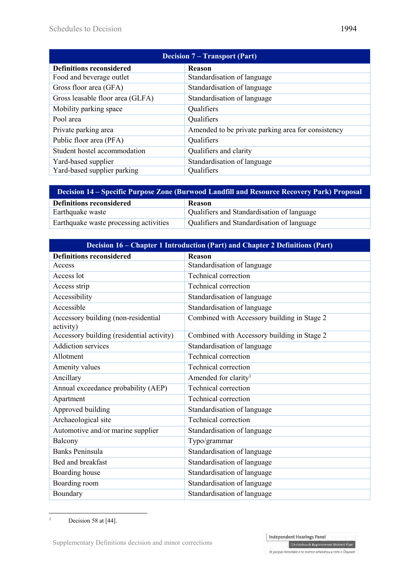| <b>Decision 7 – Transport (Part)</b> |                                                    |
|--------------------------------------|----------------------------------------------------|
| <b>Definitions reconsidered</b>      | <b>Reason</b>                                      |
| Food and beverage outlet             | Standardisation of language                        |
| Gross floor area (GFA)               | Standardisation of language                        |
| Gross leasable floor area (GLFA)     | Standardisation of language                        |
| Mobility parking space               | Qualifiers                                         |
| Pool area                            | Qualifiers                                         |
| Private parking area                 | Amended to be private parking area for consistency |
| Public floor area (PFA)              | Qualifiers                                         |
| Student hostel accommodation         | Qualifiers and clarity                             |
| Yard-based supplier                  | Standardisation of language                        |
| Yard-based supplier parking          | Qualifiers                                         |

| Decision 14 – Specific Purpose Zone (Burwood Landfill and Resource Recovery Park) Proposal |                                            |
|--------------------------------------------------------------------------------------------|--------------------------------------------|
| <b>Definitions reconsidered</b>                                                            | <b>Reason</b>                              |
| Earthquake waste                                                                           | Qualifiers and Standardisation of language |
| Earthquake waste processing activities                                                     | Qualifiers and Standardisation of language |

| Decision 16 – Chapter 1 Introduction (Part) and Chapter 2 Definitions (Part) |                                             |
|------------------------------------------------------------------------------|---------------------------------------------|
| <b>Definitions reconsidered</b>                                              | Reason                                      |
| Access                                                                       | Standardisation of language                 |
| Access lot                                                                   | <b>Technical correction</b>                 |
| Access strip                                                                 | <b>Technical correction</b>                 |
| Accessibility                                                                | Standardisation of language                 |
| Accessible                                                                   | Standardisation of language                 |
| Accessory building (non-residential<br>activity)                             | Combined with Accessory building in Stage 2 |
| Accessory building (residential activity)                                    | Combined with Accessory building in Stage 2 |
| <b>Addiction services</b>                                                    | Standardisation of language                 |
| Allotment                                                                    | <b>Technical correction</b>                 |
| Amenity values                                                               | Technical correction                        |
| Ancillary                                                                    | Amended for clarity <sup>1</sup>            |
| Annual exceedance probability (AEP)                                          | Technical correction                        |
| Apartment                                                                    | <b>Technical correction</b>                 |
| Approved building                                                            | Standardisation of language                 |
| Archaeological site                                                          | <b>Technical correction</b>                 |
| Automotive and/or marine supplier                                            | Standardisation of language                 |
| Balcony                                                                      | Typo/grammar                                |
| <b>Banks Peninsula</b>                                                       | Standardisation of language                 |
| Bed and breakfast                                                            | Standardisation of language                 |
| Boarding house                                                               | Standardisation of language                 |
| Boarding room                                                                | Standardisation of language                 |
| Boundary                                                                     | Standardisation of language                 |

 $\frac{1}{1}$ Decision 58 at [44].

Supplementary Definitions decision and minor corrections

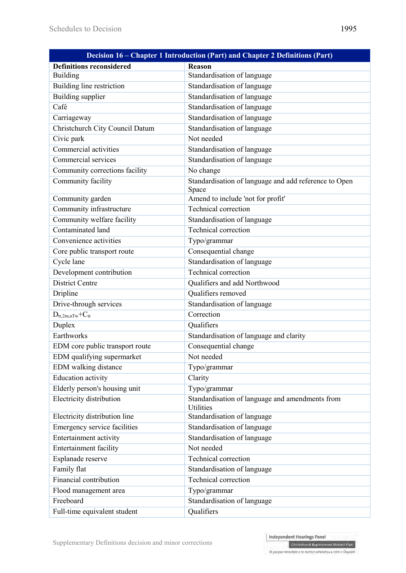| Decision 16 - Chapter 1 Introduction (Part) and Chapter 2 Definitions (Part) |                                                                     |
|------------------------------------------------------------------------------|---------------------------------------------------------------------|
| <b>Definitions reconsidered</b>                                              | <b>Reason</b>                                                       |
| <b>Building</b>                                                              | Standardisation of language                                         |
| Building line restriction                                                    | Standardisation of language                                         |
| Building supplier                                                            | Standardisation of language                                         |
| Café                                                                         | Standardisation of language                                         |
| Carriageway                                                                  | Standardisation of language                                         |
| Christchurch City Council Datum                                              | Standardisation of language                                         |
| Civic park                                                                   | Not needed                                                          |
| Commercial activities                                                        | Standardisation of language                                         |
| Commercial services                                                          | Standardisation of language                                         |
| Community corrections facility                                               | No change                                                           |
| Community facility                                                           | Standardisation of language and add reference to Open               |
|                                                                              | Space                                                               |
| Community garden                                                             | Amend to include 'not for profit'                                   |
| Community infrastructure                                                     | <b>Technical correction</b>                                         |
| Community welfare facility                                                   | Standardisation of language                                         |
| Contaminated land                                                            | <b>Technical correction</b>                                         |
| Convenience activities                                                       | Typo/grammar                                                        |
| Core public transport route                                                  | Consequential change                                                |
| Cycle lane                                                                   | Standardisation of language                                         |
| Development contribution                                                     | <b>Technical correction</b>                                         |
| <b>District Centre</b>                                                       | Qualifiers and add Northwood                                        |
| Dripline                                                                     | Qualifiers removed                                                  |
| Drive-through services                                                       | Standardisation of language                                         |
| $D_{tr,2m,nTw}$ + $C_{tr}$                                                   | Correction                                                          |
| Duplex                                                                       | Qualifiers                                                          |
| Earthworks                                                                   | Standardisation of language and clarity                             |
| EDM core public transport route                                              | Consequential change                                                |
| EDM qualifying supermarket                                                   | Not needed                                                          |
| EDM walking distance                                                         | Typo/grammar                                                        |
| <b>Education activity</b>                                                    | Clarity                                                             |
| Elderly person's housing unit                                                | Typo/grammar                                                        |
| Electricity distribution                                                     | Standardisation of language and amendments from<br><b>Utilities</b> |
| Electricity distribution line                                                | Standardisation of language                                         |
| Emergency service facilities                                                 | Standardisation of language                                         |
| Entertainment activity                                                       | Standardisation of language                                         |
| <b>Entertainment facility</b>                                                | Not needed                                                          |
| Esplanade reserve                                                            | Technical correction                                                |
| Family flat                                                                  | Standardisation of language                                         |
| Financial contribution                                                       | Technical correction                                                |
| Flood management area                                                        | Typo/grammar                                                        |
| Freeboard                                                                    | Standardisation of language                                         |
| Full-time equivalent student                                                 | Qualifiers                                                          |

Christchurch Replacement District Plan

Te paepae motuhake o te mahere whakahou a rohe o Ōtautahi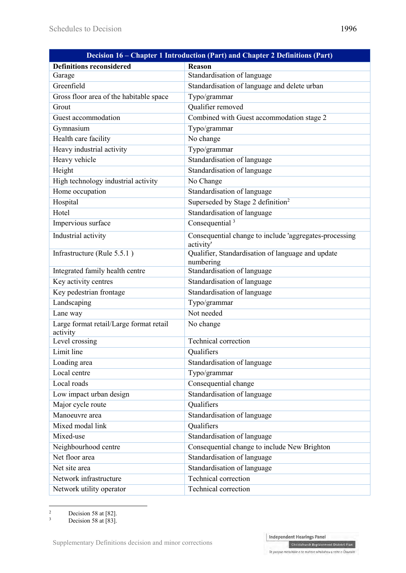| Decision 16 – Chapter 1 Introduction (Part) and Chapter 2 Definitions (Part) |                                                                     |
|------------------------------------------------------------------------------|---------------------------------------------------------------------|
| <b>Definitions reconsidered</b>                                              | Reason                                                              |
| Garage                                                                       | Standardisation of language                                         |
| Greenfield                                                                   | Standardisation of language and delete urban                        |
| Gross floor area of the habitable space                                      | Typo/grammar                                                        |
| Grout                                                                        | Qualifier removed                                                   |
| Guest accommodation                                                          | Combined with Guest accommodation stage 2                           |
| Gymnasium                                                                    | Typo/grammar                                                        |
| Health care facility                                                         | No change                                                           |
| Heavy industrial activity                                                    | Typo/grammar                                                        |
| Heavy vehicle                                                                | Standardisation of language                                         |
| Height                                                                       | Standardisation of language                                         |
| High technology industrial activity                                          | No Change                                                           |
| Home occupation                                                              | Standardisation of language                                         |
| Hospital                                                                     | Superseded by Stage 2 definition <sup>2</sup>                       |
| Hotel                                                                        | Standardisation of language                                         |
| Impervious surface                                                           | Consequential <sup>3</sup>                                          |
| Industrial activity                                                          | Consequential change to include 'aggregates-processing<br>activity' |
| Infrastructure (Rule 5.5.1)                                                  | Qualifier, Standardisation of language and update<br>numbering      |
| Integrated family health centre                                              | Standardisation of language                                         |
| Key activity centres                                                         | Standardisation of language                                         |
| Key pedestrian frontage                                                      | Standardisation of language                                         |
| Landscaping                                                                  | Typo/grammar                                                        |
| Lane way                                                                     | Not needed                                                          |
| Large format retail/Large format retail<br>activity                          | No change                                                           |
| Level crossing                                                               | Technical correction                                                |
| Limit line                                                                   | Oualifiers                                                          |
| Loading area                                                                 | Standardisation of language                                         |
| Local centre                                                                 | Typo/grammar                                                        |
| Local roads                                                                  | Consequential change                                                |
| Low impact urban design                                                      | Standardisation of language                                         |
| Major cycle route                                                            | Qualifiers                                                          |
| Manoeuvre area                                                               | Standardisation of language                                         |
| Mixed modal link                                                             | Qualifiers                                                          |
| Mixed-use                                                                    | Standardisation of language                                         |
| Neighbourhood centre                                                         | Consequential change to include New Brighton                        |
| Net floor area                                                               | Standardisation of language                                         |
| Net site area                                                                | <b>Standardisation of language</b>                                  |
| Network infrastructure                                                       | Technical correction                                                |
| Network utility operator                                                     | Technical correction                                                |

 $\frac{1}{2}$ Decision 58 at [82].

<sup>3</sup> Decision 58 at [83].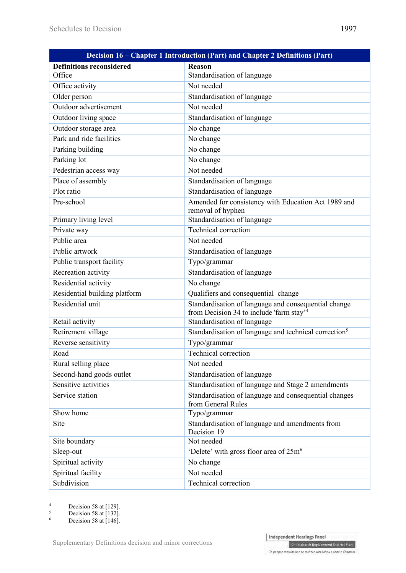| Decision 16 – Chapter 1 Introduction (Part) and Chapter 2 Definitions (Part) |                                                                                                              |  |
|------------------------------------------------------------------------------|--------------------------------------------------------------------------------------------------------------|--|
| <b>Definitions reconsidered</b>                                              | <b>Reason</b>                                                                                                |  |
| Office                                                                       | Standardisation of language                                                                                  |  |
| Office activity                                                              | Not needed                                                                                                   |  |
| Older person                                                                 | Standardisation of language                                                                                  |  |
| Outdoor advertisement                                                        | Not needed                                                                                                   |  |
| Outdoor living space                                                         | Standardisation of language                                                                                  |  |
| Outdoor storage area                                                         | No change                                                                                                    |  |
| Park and ride facilities                                                     | No change                                                                                                    |  |
| Parking building                                                             | No change                                                                                                    |  |
| Parking lot                                                                  | No change                                                                                                    |  |
| Pedestrian access way                                                        | Not needed                                                                                                   |  |
| Place of assembly                                                            | Standardisation of language                                                                                  |  |
| Plot ratio                                                                   | Standardisation of language                                                                                  |  |
| Pre-school                                                                   | Amended for consistency with Education Act 1989 and                                                          |  |
|                                                                              | removal of hyphen                                                                                            |  |
| Primary living level                                                         | Standardisation of language                                                                                  |  |
| Private way                                                                  | <b>Technical correction</b>                                                                                  |  |
| Public area                                                                  | Not needed                                                                                                   |  |
| Public artwork                                                               | Standardisation of language                                                                                  |  |
| Public transport facility                                                    | Typo/grammar                                                                                                 |  |
| Recreation activity                                                          | Standardisation of language                                                                                  |  |
| Residential activity                                                         | No change                                                                                                    |  |
| Residential building platform                                                | Qualifiers and consequential change                                                                          |  |
| Residential unit                                                             | Standardisation of language and consequential change<br>from Decision 34 to include 'farm stay' <sup>4</sup> |  |
| Retail activity                                                              | Standardisation of language                                                                                  |  |
| Retirement village                                                           | Standardisation of language and technical correction <sup>5</sup>                                            |  |
| Reverse sensitivity                                                          | Typo/grammar                                                                                                 |  |
| Road                                                                         | <b>Technical correction</b>                                                                                  |  |
| Rural selling place                                                          | Not needed                                                                                                   |  |
| Second-hand goods outlet                                                     | Standardisation of language                                                                                  |  |
| Sensitive activities                                                         | Standardisation of language and Stage 2 amendments                                                           |  |
| Service station                                                              | Standardisation of language and consequential changes<br>from General Rules                                  |  |
| Show home                                                                    | Typo/grammar                                                                                                 |  |
| Site                                                                         | Standardisation of language and amendments from<br>Decision 19                                               |  |
| Site boundary                                                                | Not needed                                                                                                   |  |
| Sleep-out                                                                    | 'Delete' with gross floor area of 25m <sup>6</sup>                                                           |  |
| Spiritual activity                                                           | No change                                                                                                    |  |
| Spiritual facility                                                           | Not needed                                                                                                   |  |
| Subdivision                                                                  | Technical correction                                                                                         |  |

 $\frac{1}{4}$ Decision 58 at [129].



<sup>5</sup> Decision 58 at [132]. 6

Decision 58 at [146].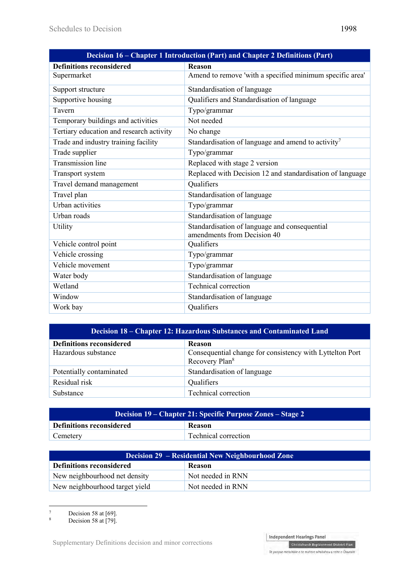| Decision 16 – Chapter 1 Introduction (Part) and Chapter 2 Definitions (Part) |                                                                              |
|------------------------------------------------------------------------------|------------------------------------------------------------------------------|
| <b>Definitions reconsidered</b>                                              | <b>Reason</b>                                                                |
| Supermarket                                                                  | Amend to remove 'with a specified minimum specific area'                     |
| Support structure                                                            | Standardisation of language                                                  |
| Supportive housing                                                           | Qualifiers and Standardisation of language                                   |
| Tavern                                                                       | Typo/grammar                                                                 |
| Temporary buildings and activities                                           | Not needed                                                                   |
| Tertiary education and research activity                                     | No change                                                                    |
| Trade and industry training facility                                         | Standardisation of language and amend to activity <sup>7</sup>               |
| Trade supplier                                                               | Typo/grammar                                                                 |
| <b>Transmission line</b>                                                     | Replaced with stage 2 version                                                |
| Transport system                                                             | Replaced with Decision 12 and standardisation of language                    |
| Travel demand management                                                     | Qualifiers                                                                   |
| Travel plan                                                                  | Standardisation of language                                                  |
| Urban activities                                                             | Typo/grammar                                                                 |
| Urban roads                                                                  | Standardisation of language                                                  |
| Utility                                                                      | Standardisation of language and consequential<br>amendments from Decision 40 |
| Vehicle control point                                                        | Qualifiers                                                                   |
| Vehicle crossing                                                             | Typo/grammar                                                                 |
| Vehicle movement                                                             | Typo/grammar                                                                 |
| Water body                                                                   | Standardisation of language                                                  |
| Wetland                                                                      | <b>Technical correction</b>                                                  |
| Window                                                                       | Standardisation of language                                                  |
| Work bay                                                                     | Qualifiers                                                                   |

| <b>Decision 18 – Chapter 12: Hazardous Substances and Contaminated Land</b> |                                                                                        |
|-----------------------------------------------------------------------------|----------------------------------------------------------------------------------------|
| <b>Definitions reconsidered</b>                                             | Reason                                                                                 |
| Hazardous substance                                                         | Consequential change for consistency with Lyttelton Port<br>Recovery Plan <sup>8</sup> |
| Potentially contaminated                                                    | Standardisation of language                                                            |
| Residual risk                                                               | Qualifiers                                                                             |
| Substance                                                                   | Technical correction                                                                   |

| <b>Decision 19 – Chapter 21: Specific Purpose Zones – Stage 2</b> |                      |
|-------------------------------------------------------------------|----------------------|
| <b>Definitions reconsidered</b>                                   | <b>Reason</b>        |
| Cemetery                                                          | Technical correction |

| Decision 29 – Residential New Neighbourhood Zone |                   |
|--------------------------------------------------|-------------------|
| <b>Definitions reconsidered</b>                  | <b>Reason</b>     |
| New neighbourhood net density                    | Not needed in RNN |
| New neighbourhood target yield                   | Not needed in RNN |

-<br>7 Decision 58 at [69].

8 Decision 58 at [79].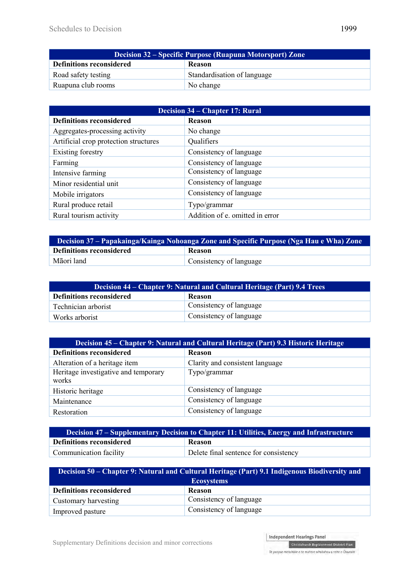| <b>Decision 32 – Specific Purpose (Ruapuna Motorsport) Zone</b> |                             |
|-----------------------------------------------------------------|-----------------------------|
| Definitions reconsidered                                        | <b>Reason</b>               |
| Road safety testing                                             | Standardisation of language |
| Ruapuna club rooms                                              | No change                   |

| <b>Decision 34 – Chapter 17: Rural</b> |                                 |
|----------------------------------------|---------------------------------|
| <b>Definitions reconsidered</b>        | Reason                          |
| Aggregates-processing activity         | No change                       |
| Artificial crop protection structures  | Qualifiers                      |
| Existing forestry                      | Consistency of language         |
| Farming                                | Consistency of language         |
| Intensive farming                      | Consistency of language         |
| Minor residential unit                 | Consistency of language         |
| Mobile irrigators                      | Consistency of language         |
| Rural produce retail                   | Typo/grammar                    |
| Rural tourism activity                 | Addition of e. omitted in error |

| Decision 37 – Papakainga/Kainga Nohoanga Zone and Specific Purpose (Nga Hau e Wha) Zone |                         |
|-----------------------------------------------------------------------------------------|-------------------------|
| <b>Definitions reconsidered</b>                                                         | <b>Reason</b>           |
| Māori land                                                                              | Consistency of language |

| Decision 44 – Chapter 9: Natural and Cultural Heritage (Part) 9.4 Trees |                         |
|-------------------------------------------------------------------------|-------------------------|
| <b>Definitions reconsidered</b>                                         | <b>Reason</b>           |
| Technician arborist                                                     | Consistency of language |
| Works arborist                                                          | Consistency of language |

| Decision 45 – Chapter 9: Natural and Cultural Heritage (Part) 9.3 Historic Heritage |                                 |
|-------------------------------------------------------------------------------------|---------------------------------|
| <b>Definitions reconsidered</b>                                                     | Reason                          |
| Alteration of a heritage item                                                       | Clarity and consistent language |
| Heritage investigative and temporary                                                | Typo/grammar                    |
| works                                                                               |                                 |
| Historic heritage                                                                   | Consistency of language         |
| Maintenance                                                                         | Consistency of language         |
| Restoration                                                                         | Consistency of language         |

| Decision 47 – Supplementary Decision to Chapter 11: Utilities, Energy and Infrastructure |                                       |
|------------------------------------------------------------------------------------------|---------------------------------------|
| <b>Definitions reconsidered</b>                                                          | <b>Reason</b>                         |
| Communication facility                                                                   | Delete final sentence for consistency |

| Decision 50 – Chapter 9: Natural and Cultural Heritage (Part) 9.1 Indigenous Biodiversity and |                         |
|-----------------------------------------------------------------------------------------------|-------------------------|
| <b>Ecosystems</b>                                                                             |                         |
| <b>Definitions reconsidered</b>                                                               | <b>Reason</b>           |
| Customary harvesting                                                                          | Consistency of language |
| Improved pasture                                                                              | Consistency of language |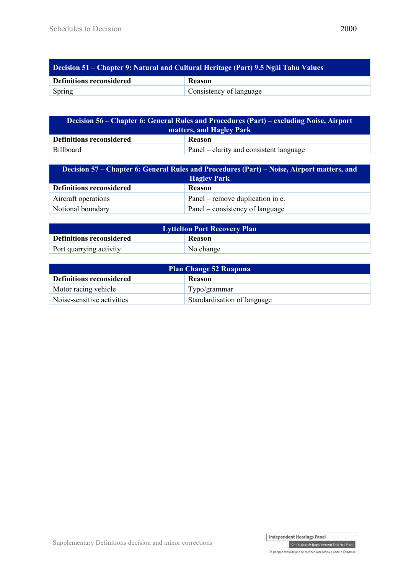| <b>Decision 51 – Chapter 9: Natural and Cultural Heritage (Part) 9.5 Ngai Tahu Values</b> |                         |
|-------------------------------------------------------------------------------------------|-------------------------|
| <b>Definitions reconsidered</b>                                                           | <b>Reason</b>           |
| <b>Spring</b>                                                                             | Consistency of language |

| <u><b>Decision 56 – Chapter 6: General Rules and Procedures (Part) – excluding Noise, Airport</b></u><br>matters, and Hagley Park |                                         |
|-----------------------------------------------------------------------------------------------------------------------------------|-----------------------------------------|
| <b>Definitions reconsidered</b>                                                                                                   | <b>Reason</b>                           |
| <b>Billboard</b>                                                                                                                  | Panel – clarity and consistent language |

| Decision 57 – Chapter 6: General Rules and Procedures (Part) – Noise, Airport matters, and<br><b>Hagley Park</b> |                                  |
|------------------------------------------------------------------------------------------------------------------|----------------------------------|
| <b>Definitions reconsidered</b>                                                                                  | <b>Reason</b>                    |
| Aircraft operations                                                                                              | Panel – remove duplication in e. |
| Notional boundary                                                                                                | Panel – consistency of language  |

| <b>Lyttelton Port Recovery Plan</b> |               |
|-------------------------------------|---------------|
| Definitions reconsidered            | <b>Reason</b> |
| Port quarrying activity             | No change     |

| <b>Plan Change 52 Ruapuna</b>   |                             |
|---------------------------------|-----------------------------|
| <b>Definitions reconsidered</b> | <b>Reason</b>               |
| Motor racing vehicle            | Typo/grammar                |
| Noise-sensitive activities      | Standardisation of language |

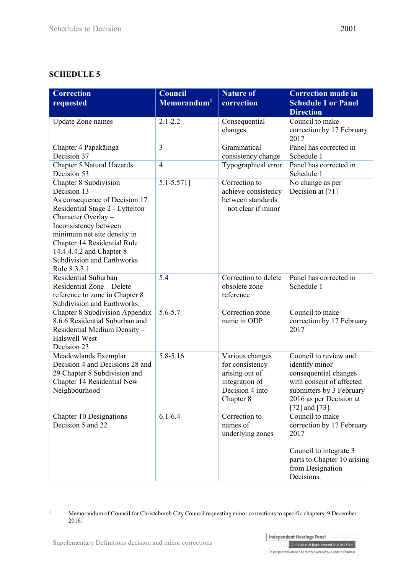# **SCHEDULE 5**

| <b>Correction</b><br>requested                                                                                                                                                                                                                                                                              | Council<br>Memorandum <sup>1</sup> | <b>Nature of</b><br>correction                                                                         | <b>Correction made in</b><br><b>Schedule 1 or Panel</b><br><b>Direction</b>                                                                                           |
|-------------------------------------------------------------------------------------------------------------------------------------------------------------------------------------------------------------------------------------------------------------------------------------------------------------|------------------------------------|--------------------------------------------------------------------------------------------------------|-----------------------------------------------------------------------------------------------------------------------------------------------------------------------|
| <b>Update Zone names</b>                                                                                                                                                                                                                                                                                    | $2.1 - 2.2$                        | Consequential<br>changes                                                                               | Council to make<br>correction by 17 February<br>2017                                                                                                                  |
| Chapter 4 Papakāinga<br>Decision 37                                                                                                                                                                                                                                                                         | 3                                  | Grammatical<br>consistency change                                                                      | Panel has corrected in<br>Schedule 1                                                                                                                                  |
| Chapter 5 Natural Hazards<br>Decision 53                                                                                                                                                                                                                                                                    | $\overline{4}$                     | Typographical error                                                                                    | Panel has corrected in<br>Schedule 1                                                                                                                                  |
| Chapter 8 Subdivision<br>Decision $13 -$<br>As consequence of Decision 17<br>Residential Stage 2 - Lyttelton<br>Character Overlay -<br>Inconsistency between<br>minimum net site density in<br>Chapter 14 Residential Rule<br>14.4.4.4.2 and Chapter 8<br><b>Subdivision and Earthworks</b><br>Rule 8.3.3.1 | 5.1-5.571]                         | Correction to<br>achieve consistency<br>between standards<br>- not clear if minor                      | No change as per<br>Decision at [71]                                                                                                                                  |
| Residential Suburban<br>Residential Zone - Delete<br>reference to zone in Chapter 8<br>Subdivision and Earthworks.                                                                                                                                                                                          | 5.4                                | Correction to delete<br>obsolete zone<br>reference                                                     | Panel has corrected in<br>Schedule 1                                                                                                                                  |
| <b>Chapter 8 Subdivision Appendix</b><br>8.6.6 Residential Suburban and<br>Residential Medium Density-<br><b>Halswell West</b><br>Decision 23                                                                                                                                                               | $5.6 - 5.7$                        | Correction zone<br>name in ODP                                                                         | Council to make<br>correction by 17 February<br>2017                                                                                                                  |
| Meadowlands Exemplar<br>Decision 4 and Decisions 28 and<br>29 Chapter 8 Subdivision and<br>Chapter 14 Residential New<br>Neighbourhood                                                                                                                                                                      | 5.8-5.16                           | Various changes<br>for consistency<br>arising out of<br>integration of<br>Decision 4 into<br>Chapter 8 | Council to review and<br>identify minor<br>consequential changes<br>with consent of affected<br>submitters by 3 February<br>2016 as per Decision at<br>[72] and [73]. |
| <b>Chapter 10 Designations</b><br>Decision 5 and 22                                                                                                                                                                                                                                                         | $6.1 - 6.4$                        | Correction to<br>names of<br>underlying zones                                                          | Council to make<br>correction by 17 February<br>2017<br>Council to integrate 3<br>parts to Chapter 10 arising<br>from Designation<br>Decisions.                       |

Memorandum of Council for Christchurch City Council requesting minor corrections to specific chapters, 9 December 2016.

 $\frac{1}{1}$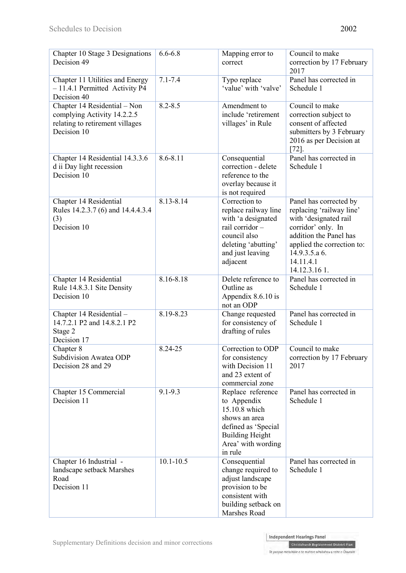| Chapter 10 Stage 3 Designations<br>Decision 49                                                                | $6.6 - 6.8$   | Mapping error to<br>correct                                                                                                                          | Council to make<br>correction by 17 February<br>2017                                                                                                                                                     |
|---------------------------------------------------------------------------------------------------------------|---------------|------------------------------------------------------------------------------------------------------------------------------------------------------|----------------------------------------------------------------------------------------------------------------------------------------------------------------------------------------------------------|
| Chapter 11 Utilities and Energy<br>-11.4.1 Permitted Activity P4<br>Decision 40                               | $7.1 - 7.4$   | Typo replace<br>'value' with 'valve'                                                                                                                 | Panel has corrected in<br>Schedule 1                                                                                                                                                                     |
| Chapter 14 Residential - Non<br>complying Activity 14.2.2.5<br>relating to retirement villages<br>Decision 10 | $8.2 - 8.5$   | Amendment to<br>include 'retirement<br>villages' in Rule                                                                                             | Council to make<br>correction subject to<br>consent of affected<br>submitters by 3 February<br>2016 as per Decision at<br>$[72]$                                                                         |
| Chapter 14 Residential 14.3.3.6<br>d ii Day light recession<br>Decision 10                                    | 8.6-8.11      | Consequential<br>correction - delete<br>reference to the<br>overlay because it<br>is not required                                                    | Panel has corrected in<br>Schedule 1                                                                                                                                                                     |
| Chapter 14 Residential<br>Rules 14.2.3.7 (6) and 14.4.4.3.4<br>(3)<br>Decision 10                             | 8.13-8.14     | Correction to<br>replace railway line<br>with 'a designated<br>rail corridor-<br>council also<br>deleting 'abutting'<br>and just leaving<br>adjacent | Panel has corrected by<br>replacing 'railway line'<br>with 'designated rail<br>corridor' only. In<br>addition the Panel has<br>applied the correction to:<br>14.9.3.5.a.6.<br>14.11.4.1<br>14.12.3.16 1. |
| Chapter 14 Residential<br>Rule 14.8.3.1 Site Density<br>Decision 10                                           | 8.16-8.18     | Delete reference to<br>Outline as<br>Appendix 8.6.10 is<br>not an ODP                                                                                | Panel has corrected in<br>Schedule 1                                                                                                                                                                     |
| Chapter 14 Residential -<br>14.7.2.1 P2 and 14.8.2.1 P2<br>Stage 2<br>Decision 17                             | 8.19-8.23     | Change requested<br>for consistency of<br>drafting of rules                                                                                          | Panel has corrected in<br>Schedule 1                                                                                                                                                                     |
| Chapter 8<br>Subdivision Awatea ODP<br>Decision 28 and 29                                                     | 8.24-25       | Correction to ODP<br>for consistency<br>with Decision 11<br>and 23 extent of<br>commercial zone                                                      | Council to make<br>correction by 17 February<br>2017                                                                                                                                                     |
| Chapter 15 Commercial<br>Decision 11                                                                          | $9.1 - 9.3$   | Replace reference<br>to Appendix<br>15.10.8 which<br>shows an area<br>defined as 'Special<br><b>Building Height</b><br>Area' with wording<br>in rule | Panel has corrected in<br>Schedule 1                                                                                                                                                                     |
| Chapter 16 Industrial -<br>landscape setback Marshes<br>Road<br>Decision 11                                   | $10.1 - 10.5$ | Consequential<br>change required to<br>adjust landscape<br>provision to be<br>consistent with<br>building setback on<br>Marshes Road                 | Panel has corrected in<br>Schedule 1                                                                                                                                                                     |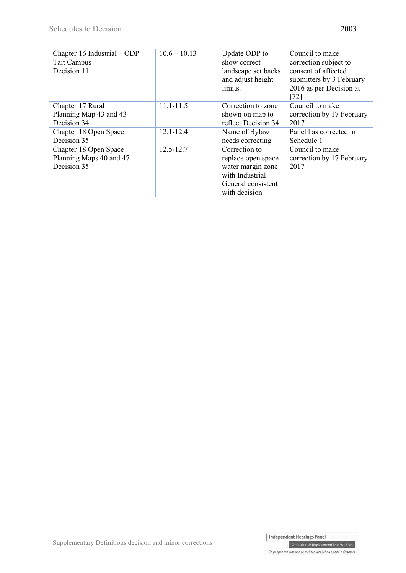| Chapter 16 Industrial – ODP | $10.6 - 10.13$ | Update ODP to       | Council to make           |
|-----------------------------|----------------|---------------------|---------------------------|
| <b>Tait Campus</b>          |                | show correct        | correction subject to     |
| Decision 11                 |                | landscape set backs | consent of affected       |
|                             |                | and adjust height   | submitters by 3 February  |
|                             |                | limits.             | 2016 as per Decision at   |
|                             |                |                     | $[72]$                    |
| Chapter 17 Rural            | $11.1 - 11.5$  | Correction to zone  | Council to make           |
| Planning Map 43 and 43      |                | shown on map to     | correction by 17 February |
| Decision 34                 |                | reflect Decision 34 | 2017                      |
| Chapter 18 Open Space       | $12.1 - 12.4$  | Name of Bylaw       | Panel has corrected in    |
| Decision 35                 |                | needs correcting    | Schedule 1                |
| Chapter 18 Open Space       | $12.5 - 12.7$  | Correction to       | Council to make           |
| Planning Maps 40 and 47     |                | replace open space  | correction by 17 February |
| Decision 35                 |                | water margin zone   | 2017                      |
|                             |                | with Industrial     |                           |
|                             |                | General consistent  |                           |
|                             |                | with decision       |                           |